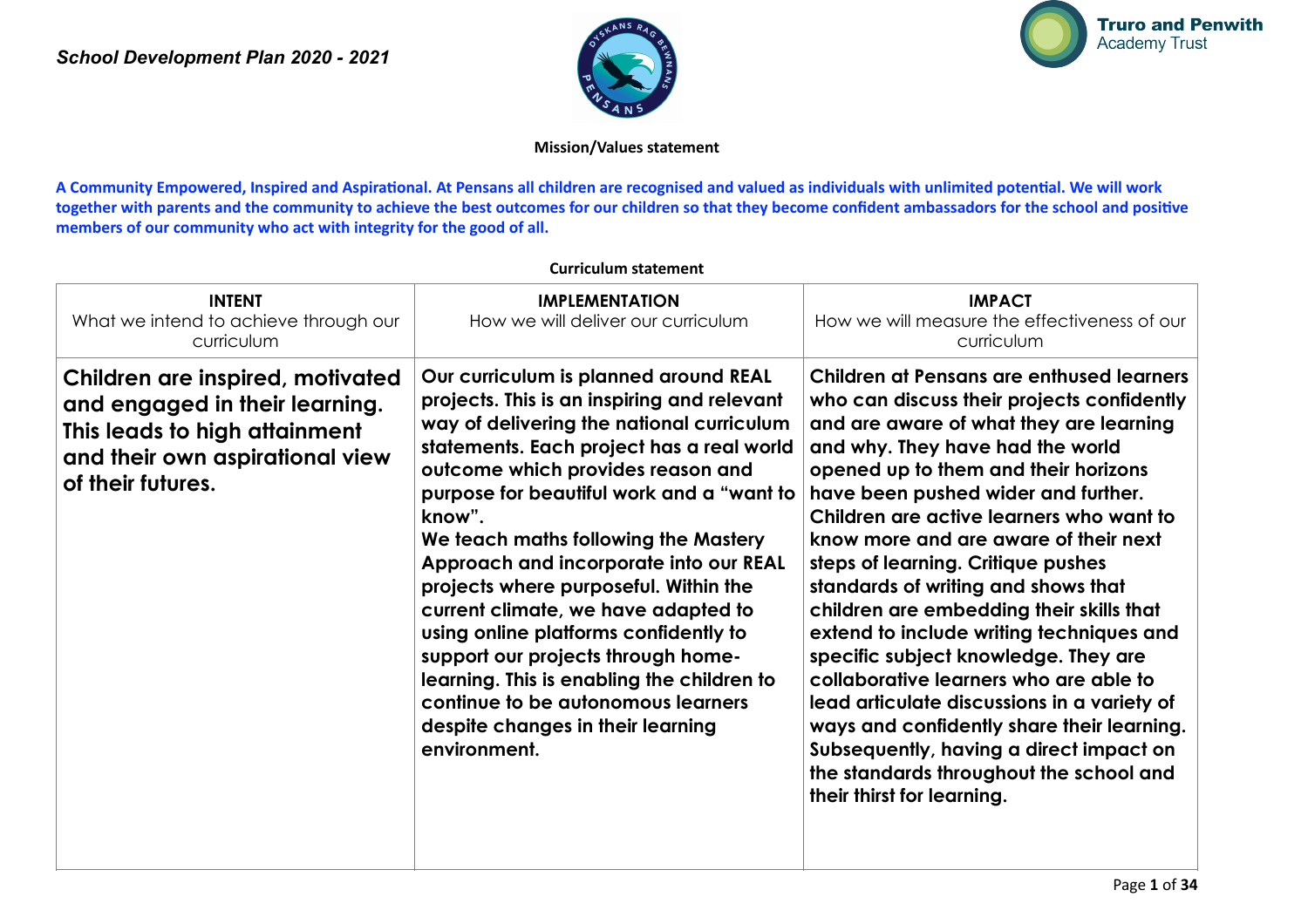



#### **Mission/Values statement**

A Community Empowered, Inspired and Aspirational. At Pensans all children are recognised and valued as individuals with unlimited potential. We will work together with parents and the community to achieve the best outcomes for our children so that they become confident ambassadors for the school and positive **members of our community who act with integrity for the good of all.**

| <b>INTENT</b><br>What we intend to achieve through our<br>curriculum                                                                                        | <b>IMPLEMENTATION</b><br>How we will deliver our curriculum                                                                                                                                                                                                                                                                                                                                                                                                                                                                                                                                                                                                          | <b>IMPACT</b><br>How we will measure the effectiveness of our<br>curriculum                                                                                                                                                                                                                                                                                                                                                                                                                                                                                                                                                                                                                                                                                                                                        |
|-------------------------------------------------------------------------------------------------------------------------------------------------------------|----------------------------------------------------------------------------------------------------------------------------------------------------------------------------------------------------------------------------------------------------------------------------------------------------------------------------------------------------------------------------------------------------------------------------------------------------------------------------------------------------------------------------------------------------------------------------------------------------------------------------------------------------------------------|--------------------------------------------------------------------------------------------------------------------------------------------------------------------------------------------------------------------------------------------------------------------------------------------------------------------------------------------------------------------------------------------------------------------------------------------------------------------------------------------------------------------------------------------------------------------------------------------------------------------------------------------------------------------------------------------------------------------------------------------------------------------------------------------------------------------|
| Children are inspired, motivated<br>and engaged in their learning.<br>This leads to high attainment<br>and their own aspirational view<br>of their futures. | Our curriculum is planned around REAL<br>projects. This is an inspiring and relevant<br>way of delivering the national curriculum<br>statements. Each project has a real world<br>outcome which provides reason and<br>purpose for beautiful work and a "want to<br>know".<br>We teach maths following the Mastery<br>Approach and incorporate into our REAL<br>projects where purposeful. Within the<br>current climate, we have adapted to<br>using online platforms confidently to<br>support our projects through home-<br>learning. This is enabling the children to<br>continue to be autonomous learners<br>despite changes in their learning<br>environment. | Children at Pensans are enthused learners<br>who can discuss their projects confidently<br>and are aware of what they are learning<br>and why. They have had the world<br>opened up to them and their horizons<br>have been pushed wider and further.<br>Children are active learners who want to<br>know more and are aware of their next<br>steps of learning. Critique pushes<br>standards of writing and shows that<br>children are embedding their skills that<br>extend to include writing techniques and<br>specific subject knowledge. They are<br>collaborative learners who are able to<br>lead articulate discussions in a variety of<br>ways and confidently share their learning.<br>Subsequently, having a direct impact on<br>the standards throughout the school and<br>their thirst for learning. |

#### **Curriculum statement**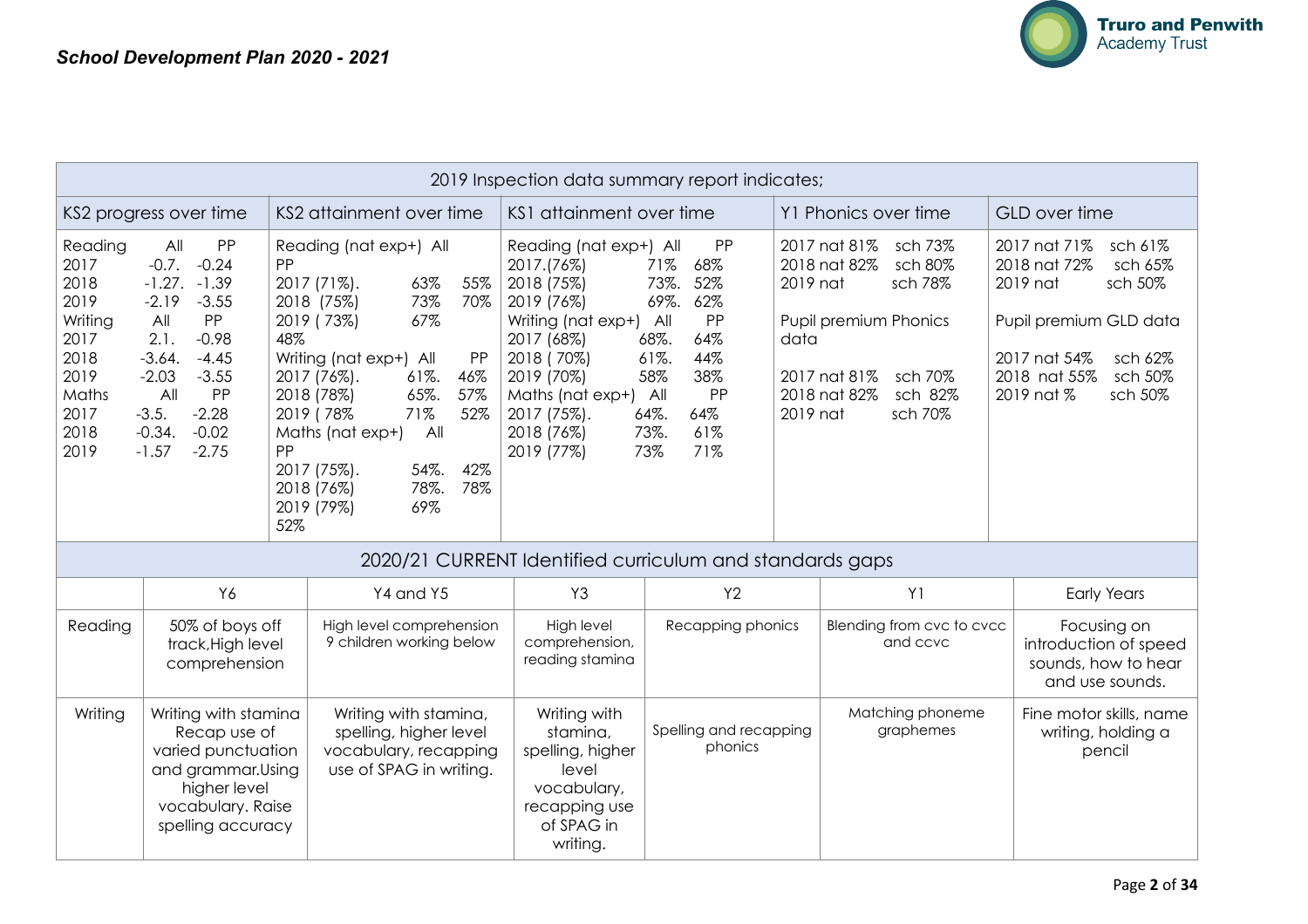

|                                                                                                     | 2019 Inspection data summary report indicates;                                                                                                                                                                                        |                        |                                                                                                                                                                                                                                                                                                                                     |                                                                                                                                                                                                 |                                                                                                                                                                     |                              |                                                                                                                                                         |                                                                                                                                                                                    |
|-----------------------------------------------------------------------------------------------------|---------------------------------------------------------------------------------------------------------------------------------------------------------------------------------------------------------------------------------------|------------------------|-------------------------------------------------------------------------------------------------------------------------------------------------------------------------------------------------------------------------------------------------------------------------------------------------------------------------------------|-------------------------------------------------------------------------------------------------------------------------------------------------------------------------------------------------|---------------------------------------------------------------------------------------------------------------------------------------------------------------------|------------------------------|---------------------------------------------------------------------------------------------------------------------------------------------------------|------------------------------------------------------------------------------------------------------------------------------------------------------------------------------------|
|                                                                                                     | KS2 attainment over time<br>KS2 progress over time                                                                                                                                                                                    |                        |                                                                                                                                                                                                                                                                                                                                     | KS1 attainment over time                                                                                                                                                                        |                                                                                                                                                                     |                              | Y1 Phonics over time                                                                                                                                    | GLD over time                                                                                                                                                                      |
| Reading<br>2017<br>2018<br>2019<br>Writing<br>2017<br>2018<br>2019<br>Maths<br>2017<br>2018<br>2019 | All<br>PP<br>$-0.7$ .<br>$-0.24$<br>$-1.27. -1.39$<br>$-2.19$<br>$-3.55$<br>PP<br>All<br>2.1.<br>$-0.98$<br>$-3.64.$<br>$-4.45$<br>$-2.03$<br>$-3.55$<br>All<br>PP<br>$-2.28$<br>$-3.5.$<br>$-0.02$<br>$-0.34.$<br>$-2.75$<br>$-1.57$ | PP<br>48%<br>PP<br>52% | Reading (nat exp+) All<br>2017 (71%).<br>63%<br>55%<br>73%<br>70%<br>2018 (75%)<br>2019 (73%)<br>67%<br>Writing (nat exp+) All<br>PP<br>61%.<br>2017 (76%).<br>46%<br>65%.<br>2018 (78%)<br>57%<br>71%<br>52%<br>2019 (78%<br>A<br>Maths (nat exp+)<br>2017 (75%).<br>54%.<br>42%<br>78%.<br>78%<br>2018 (76%)<br>69%<br>2019 (79%) | Reading (nat exp+) All<br>2017.(76%)<br>2018 (75%)<br>2019 (76%)<br>Writing (nat exp+)<br>2017 (68%)<br>2018 (70%)<br>2019 (70%)<br>Maths (nat exp+)<br>2017 (75%).<br>2018 (76%)<br>2019 (77%) | PP<br>71%<br>68%<br>73%.<br>52%<br>62%<br>69%.<br>PP<br>$A$ ll<br>68%.<br>64%<br>61%.<br>44%<br>58%<br>38%<br>PP<br>All<br>64%.<br>64%<br>73%.<br>61%<br>71%<br>73% | 2019 nat<br>data<br>2019 nat | 2017 nat 81%<br>sch 73%<br>sch 80%<br>2018 nat 82%<br>sch 78%<br>Pupil premium Phonics<br>2017 nat 81%<br>sch 70%<br>2018 nat 82%<br>sch 82%<br>sch 70% | 2017 nat 71%<br>sch 61%<br>2018 nat 72%<br>sch 65%<br>2019 nat<br>sch 50%<br>Pupil premium GLD data<br>2017 nat 54%<br>sch 62%<br>2018 nat 55%<br>sch 50%<br>2019 nat %<br>sch 50% |
|                                                                                                     |                                                                                                                                                                                                                                       |                        | 2020/21 CURRENT Identified curriculum and standards gaps                                                                                                                                                                                                                                                                            |                                                                                                                                                                                                 |                                                                                                                                                                     |                              |                                                                                                                                                         |                                                                                                                                                                                    |
|                                                                                                     | Y6                                                                                                                                                                                                                                    |                        | Y4 and Y5                                                                                                                                                                                                                                                                                                                           | Y3                                                                                                                                                                                              | Y2                                                                                                                                                                  |                              | Y <sub>1</sub>                                                                                                                                          | <b>Early Years</b>                                                                                                                                                                 |
| Reading                                                                                             | 50% of boys off<br>track, High level<br>comprehension                                                                                                                                                                                 |                        | High level comprehension<br>9 children working below                                                                                                                                                                                                                                                                                | High level<br>comprehension,<br>reading stamina                                                                                                                                                 | Recapping phonics                                                                                                                                                   |                              | Blending from cvc to cvcc<br>and ccvc                                                                                                                   | Focusing on<br>introduction of speed<br>sounds, how to hear<br>and use sounds.                                                                                                     |
| Writing                                                                                             | Writing with stamina<br>Recap use of<br>varied punctuation<br>and grammar.Using<br>higher level<br>vocabulary. Raise<br>spelling accuracy                                                                                             |                        | Writing with stamina,<br>spelling, higher level<br>vocabulary, recapping<br>use of SPAG in writing.                                                                                                                                                                                                                                 | Writing with<br>stamina.<br>spelling, higher<br>level<br>vocabulary,<br>recapping use<br>of SPAG in<br>writing.                                                                                 | Spelling and recapping<br>phonics                                                                                                                                   |                              | Matching phoneme<br>graphemes                                                                                                                           | Fine motor skills, name<br>writing, holding a<br>pencil                                                                                                                            |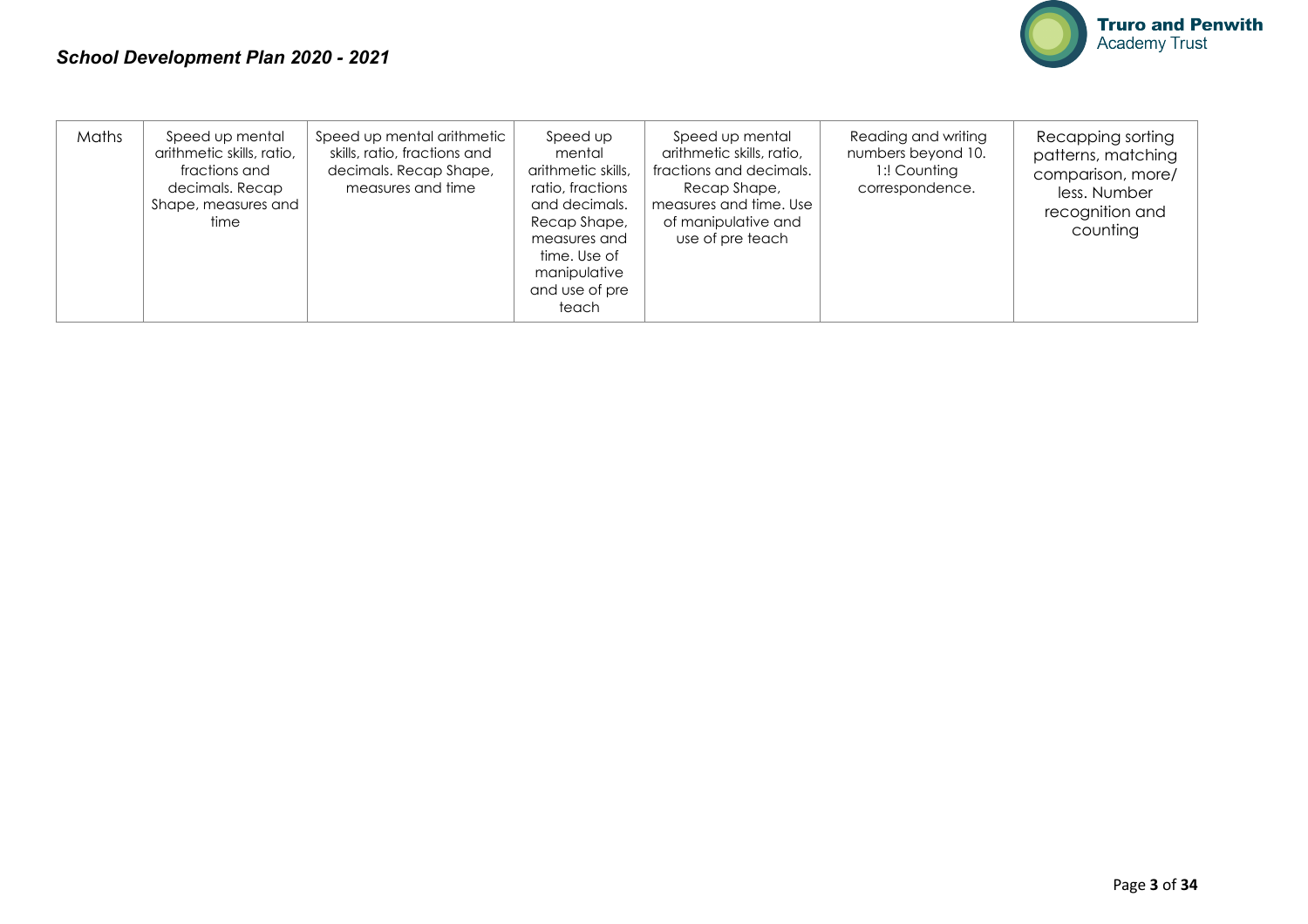

| Maths | Speed up mental<br>arithmetic skills, ratio,<br>fractions and<br>decimals. Recap<br>Shape, measures and<br>time | Speed up mental arithmetic<br>skills, ratio, fractions and<br>decimals. Recap Shape,<br>measures and time | Speed up<br>mental<br>arithmetic skills,<br>ratio, fractions<br>and decimals.<br>Recap Shape,<br>measures and<br>time. Use of<br>manipulative<br>and use of pre<br>teach | Speed up mental<br>arithmetic skills, ratio,<br>fractions and decimals.<br>Recap Shape,<br>measures and time. Use<br>of manipulative and<br>use of pre teach | Reading and writing<br>numbers beyond 10.<br>1:! Counting<br>correspondence. | Recapping sorting<br>patterns, matching<br>comparison, more/<br>less. Number<br>recognition and<br>counting |
|-------|-----------------------------------------------------------------------------------------------------------------|-----------------------------------------------------------------------------------------------------------|--------------------------------------------------------------------------------------------------------------------------------------------------------------------------|--------------------------------------------------------------------------------------------------------------------------------------------------------------|------------------------------------------------------------------------------|-------------------------------------------------------------------------------------------------------------|
|-------|-----------------------------------------------------------------------------------------------------------------|-----------------------------------------------------------------------------------------------------------|--------------------------------------------------------------------------------------------------------------------------------------------------------------------------|--------------------------------------------------------------------------------------------------------------------------------------------------------------|------------------------------------------------------------------------------|-------------------------------------------------------------------------------------------------------------|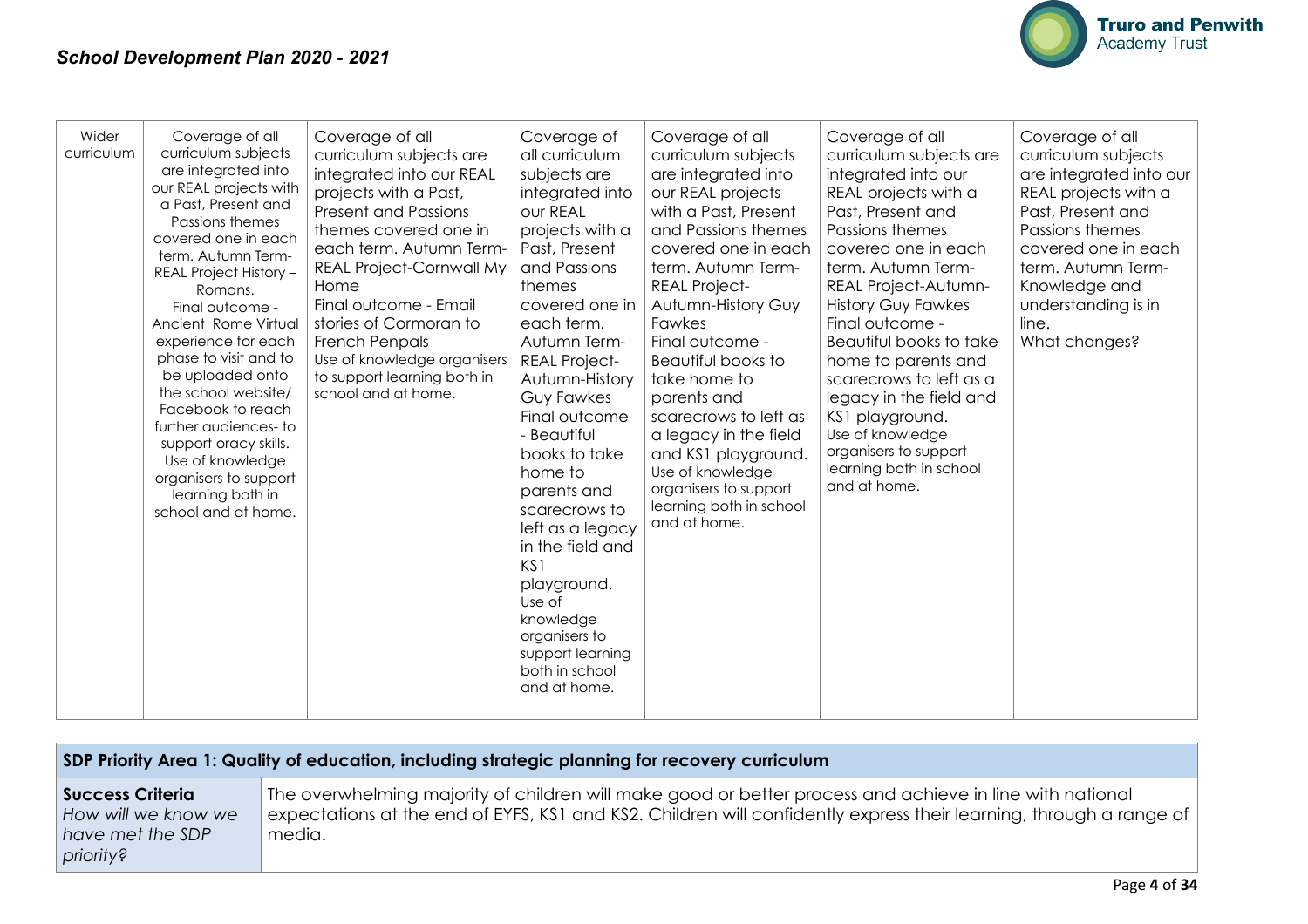

| Wider<br>curriculum | Coverage of all<br>curriculum subjects<br>are integrated into<br>our REAL projects with<br>a Past, Present and<br>Passions themes<br>covered one in each<br>term. Autumn Term-<br>REAL Project History -<br>Romans.<br>Final outcome -<br>Ancient Rome Virtual<br>experience for each<br>phase to visit and to<br>be uploaded onto<br>the school website/<br>Facebook to reach<br>further audiences-to<br>support oracy skills.<br>Use of knowledge<br>organisers to support<br>learning both in<br>school and at home. | Coverage of all<br>curriculum subjects are<br>integrated into our REAL<br>projects with a Past,<br><b>Present and Passions</b><br>themes covered one in<br>each term. Autumn Term-<br><b>REAL Project-Cornwall My</b><br>Home<br>Final outcome - Email<br>stories of Cormoran to<br><b>French Penpals</b><br>Use of knowledge organisers<br>to support learning both in<br>school and at home. | Coverage of<br>all curriculum<br>subjects are<br>integrated into<br>our REAL<br>projects with a<br>Past, Present<br>and Passions<br>themes<br>covered one in<br>each term.<br>Autumn Term-<br><b>REAL Project-</b><br>Autumn-History<br><b>Guy Fawkes</b><br>Final outcome<br>- Beautiful<br>books to take<br>home to<br>parents and<br>scarecrows to<br>left as a legacy<br>in the field and<br>KS1<br>playground.<br>Use of<br>knowledge<br>organisers to<br>support learning<br>both in school<br>and at home. | Coverage of all<br>curriculum subjects<br>are integrated into<br>our REAL projects<br>with a Past, Present<br>and Passions themes<br>covered one in each<br>term. Autumn Term-<br><b>REAL Project-</b><br>Autumn-History Guy<br>Fawkes<br>Final outcome -<br>Beautiful books to<br>take home to<br>parents and<br>scarecrows to left as<br>a legacy in the field<br>and KS1 playground.<br>Use of knowledge<br>organisers to support<br>learning both in school<br>and at home. | Coverage of all<br>curriculum subjects are<br>integrated into our<br>REAL projects with a<br>Past, Present and<br>Passions themes<br>covered one in each<br>term. Autumn Term-<br>REAL Project-Autumn-<br><b>History Guy Fawkes</b><br>Final outcome -<br>Beautiful books to take<br>home to parents and<br>scarecrows to left as a<br>legacy in the field and<br>KS1 playground.<br>Use of knowledge<br>organisers to support<br>learning both in school<br>and at home. | Coverage of all<br>curriculum subjects<br>are integrated into our<br>REAL projects with a<br>Past, Present and<br>Passions themes<br>covered one in each<br>term. Autumn Term-<br>Knowledge and<br>understanding is in<br>line.<br>What changes? |
|---------------------|-------------------------------------------------------------------------------------------------------------------------------------------------------------------------------------------------------------------------------------------------------------------------------------------------------------------------------------------------------------------------------------------------------------------------------------------------------------------------------------------------------------------------|------------------------------------------------------------------------------------------------------------------------------------------------------------------------------------------------------------------------------------------------------------------------------------------------------------------------------------------------------------------------------------------------|-------------------------------------------------------------------------------------------------------------------------------------------------------------------------------------------------------------------------------------------------------------------------------------------------------------------------------------------------------------------------------------------------------------------------------------------------------------------------------------------------------------------|---------------------------------------------------------------------------------------------------------------------------------------------------------------------------------------------------------------------------------------------------------------------------------------------------------------------------------------------------------------------------------------------------------------------------------------------------------------------------------|---------------------------------------------------------------------------------------------------------------------------------------------------------------------------------------------------------------------------------------------------------------------------------------------------------------------------------------------------------------------------------------------------------------------------------------------------------------------------|--------------------------------------------------------------------------------------------------------------------------------------------------------------------------------------------------------------------------------------------------|
|---------------------|-------------------------------------------------------------------------------------------------------------------------------------------------------------------------------------------------------------------------------------------------------------------------------------------------------------------------------------------------------------------------------------------------------------------------------------------------------------------------------------------------------------------------|------------------------------------------------------------------------------------------------------------------------------------------------------------------------------------------------------------------------------------------------------------------------------------------------------------------------------------------------------------------------------------------------|-------------------------------------------------------------------------------------------------------------------------------------------------------------------------------------------------------------------------------------------------------------------------------------------------------------------------------------------------------------------------------------------------------------------------------------------------------------------------------------------------------------------|---------------------------------------------------------------------------------------------------------------------------------------------------------------------------------------------------------------------------------------------------------------------------------------------------------------------------------------------------------------------------------------------------------------------------------------------------------------------------------|---------------------------------------------------------------------------------------------------------------------------------------------------------------------------------------------------------------------------------------------------------------------------------------------------------------------------------------------------------------------------------------------------------------------------------------------------------------------------|--------------------------------------------------------------------------------------------------------------------------------------------------------------------------------------------------------------------------------------------------|

### **SDP Priority Area 1: Quality of education, including strategic planning for recovery curriculum**

**Success Criteria**  *How will we know we have met the SDP priority?* 

The overwhelming majority of children will make good or better process and achieve in line with national expectations at the end of EYFS, KS1 and KS2. Children will confidently express their learning, through a range of media.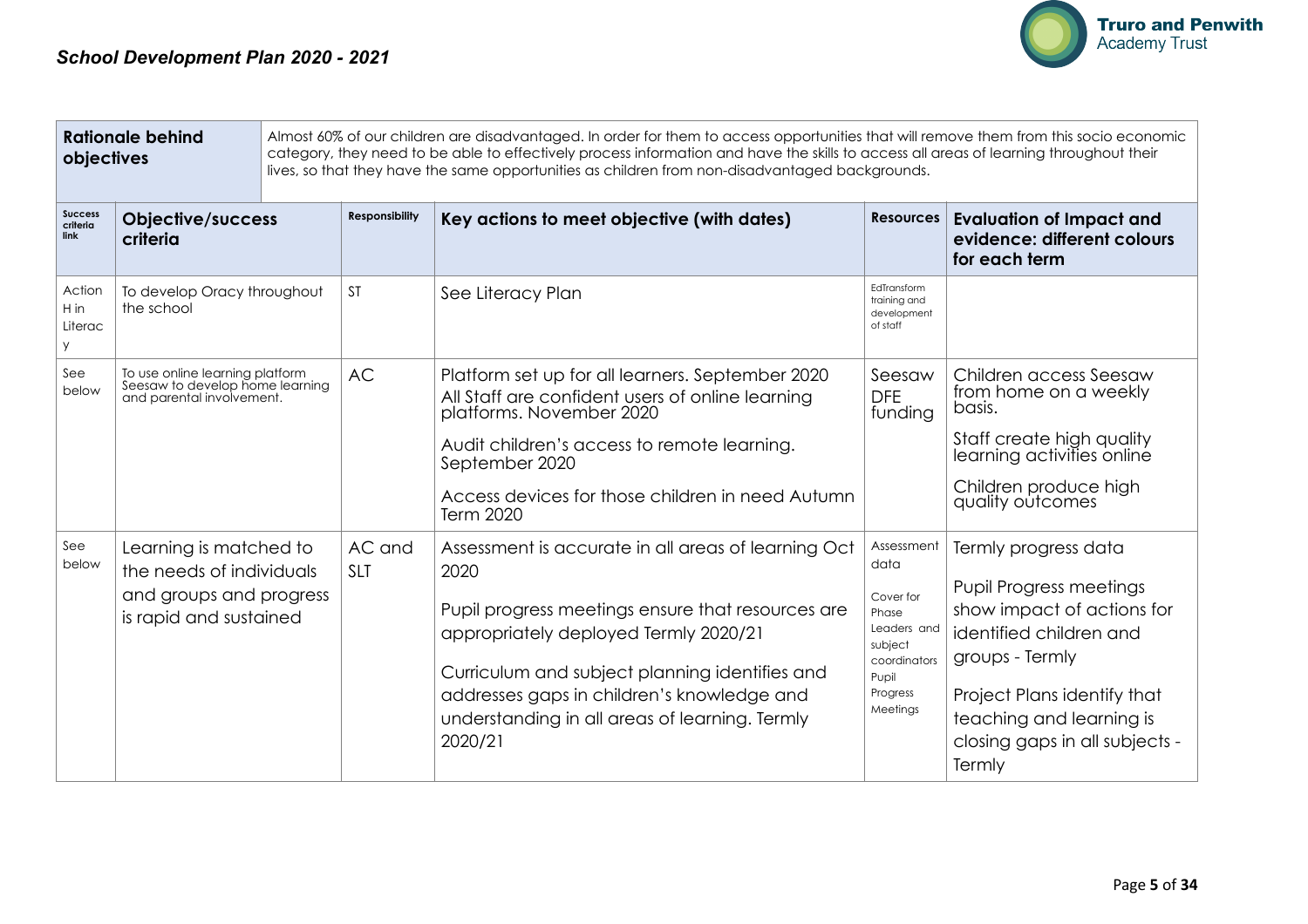

| <b>Rationale behind</b><br>Almost 60% of our children are disadvantaged. In order for them to access opportunities that will remove them from this socio economic<br>category, they need to be able to effectively process information and have the skills to access all areas of learning throughout their<br>objectives<br>lives, so that they have the same opportunities as children from non-disadvantaged backgrounds. |                                                                                                         |  |                       |                                                                                                                                                                                                                                                                                                                                     |                                                                                                                     |                                                                                                                                                                                                                                           |
|------------------------------------------------------------------------------------------------------------------------------------------------------------------------------------------------------------------------------------------------------------------------------------------------------------------------------------------------------------------------------------------------------------------------------|---------------------------------------------------------------------------------------------------------|--|-----------------------|-------------------------------------------------------------------------------------------------------------------------------------------------------------------------------------------------------------------------------------------------------------------------------------------------------------------------------------|---------------------------------------------------------------------------------------------------------------------|-------------------------------------------------------------------------------------------------------------------------------------------------------------------------------------------------------------------------------------------|
| <b>Success</b><br>criteria<br>link                                                                                                                                                                                                                                                                                                                                                                                           | <b>Objective/success</b><br>criteria                                                                    |  | <b>Responsibility</b> | Key actions to meet objective (with dates)                                                                                                                                                                                                                                                                                          | <b>Resources</b>                                                                                                    | <b>Evaluation of Impact and</b><br>evidence: different colours<br>for each term                                                                                                                                                           |
| Action<br>$H$ in<br>Literac<br>У                                                                                                                                                                                                                                                                                                                                                                                             | To develop Oracy throughout<br>the school                                                               |  | <b>ST</b>             | See Literacy Plan                                                                                                                                                                                                                                                                                                                   | EdTransform<br>training and<br>development<br>of staff                                                              |                                                                                                                                                                                                                                           |
| See<br>below                                                                                                                                                                                                                                                                                                                                                                                                                 | To use online learning platform<br>Seesaw to develop home learning<br>and parental involvement.         |  | <b>AC</b>             | Platform set up for all learners. September 2020<br>All Staff are confident users of online learning<br>platforms. November 2020<br>Audit children's access to remote learning.<br>September 2020<br>Access devices for those children in need Autumn                                                                               | Seesaw<br><b>DFE</b><br>funding                                                                                     | Children access Seesaw<br>from home on a weekly<br>basis.<br>Staff create high quality<br>learning activities online<br>Children produce high<br>quality outcomes                                                                         |
| See<br>below                                                                                                                                                                                                                                                                                                                                                                                                                 | Learning is matched to<br>the needs of individuals<br>and groups and progress<br>is rapid and sustained |  | AC and<br><b>SLT</b>  | Term 2020<br>Assessment is accurate in all areas of learning Oct<br>2020<br>Pupil progress meetings ensure that resources are<br>appropriately deployed Termly 2020/21<br>Curriculum and subject planning identifies and<br>addresses gaps in children's knowledge and<br>understanding in all areas of learning. Termly<br>2020/21 | Assessment<br>data<br>Cover for<br>Phase<br>Leaders and<br>subject<br>coordinators<br>Pupil<br>Progress<br>Meetings | Termly progress data<br><b>Pupil Progress meetings</b><br>show impact of actions for<br>identified children and<br>groups - Termly<br>Project Plans identify that<br>teaching and learning is<br>closing gaps in all subjects -<br>Termly |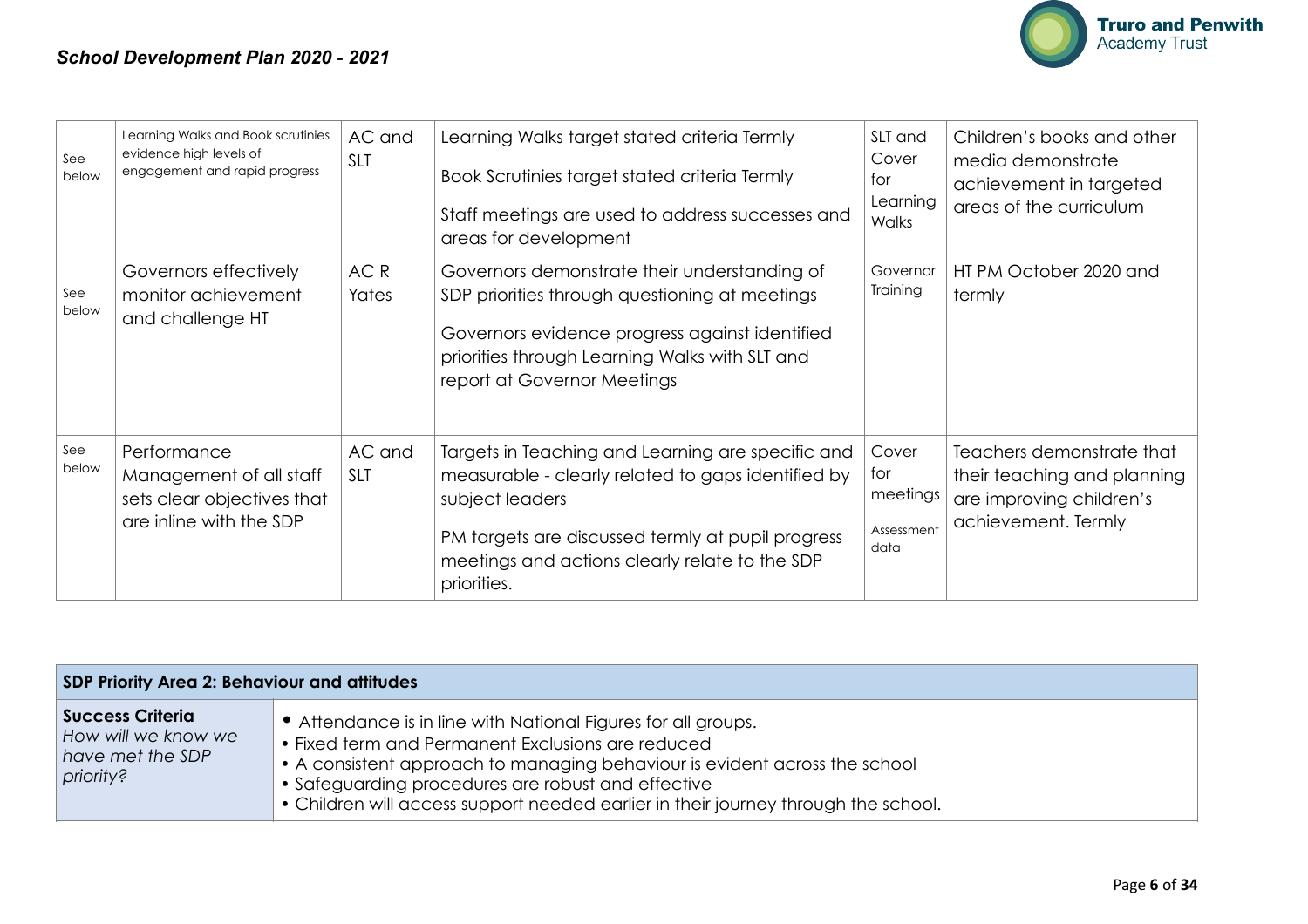

| See<br>below | Learning Walks and Book scrutinies<br>evidence high levels of<br>engagement and rapid progress  | AC and<br><b>SLT</b>     | Learning Walks target stated criteria Termly<br>Book Scrutinies target stated criteria Termly<br>Staff meetings are used to address successes and<br>areas for development                                                                       | SLT and<br>Cover<br>tor<br>Learning<br>Walks   | Children's books and other<br>media demonstrate<br>achievement in targeted<br>areas of the curriculum       |
|--------------|-------------------------------------------------------------------------------------------------|--------------------------|--------------------------------------------------------------------------------------------------------------------------------------------------------------------------------------------------------------------------------------------------|------------------------------------------------|-------------------------------------------------------------------------------------------------------------|
| See<br>below | Governors effectively<br>monitor achievement<br>and challenge HT                                | AC <sub>R</sub><br>Yates | Governors demonstrate their understanding of<br>SDP priorities through questioning at meetings<br>Governors evidence progress against identified<br>priorities through Learning Walks with SLT and<br>report at Governor Meetings                | Governor<br>Training                           | HT PM October 2020 and<br>termly                                                                            |
| See<br>below | Performance<br>Management of all staff<br>sets clear objectives that<br>are inline with the SDP | AC and<br><b>SLT</b>     | Targets in Teaching and Learning are specific and<br>measurable - clearly related to gaps identified by<br>subject leaders<br>PM targets are discussed termly at pupil progress<br>meetings and actions clearly relate to the SDP<br>priorities. | Cover<br>tor<br>meetings<br>Assessment<br>data | Teachers demonstrate that<br>their teaching and planning<br>are improving children's<br>achievement. Termly |

| <b>SDP Priority Area 2: Behaviour and attitudes</b>                        |                                                                                                                                                                                                                                                                                                                                              |  |  |  |
|----------------------------------------------------------------------------|----------------------------------------------------------------------------------------------------------------------------------------------------------------------------------------------------------------------------------------------------------------------------------------------------------------------------------------------|--|--|--|
| Success Criteria  <br>How will we know we<br>have met the SDP<br>priority? | • Attendance is in line with National Figures for all groups.<br>• Fixed term and Permanent Exclusions are reduced<br>• A consistent approach to managing behaviour is evident across the school<br>• Safeguarding procedures are robust and effective<br>• Children will access support needed earlier in their journey through the school. |  |  |  |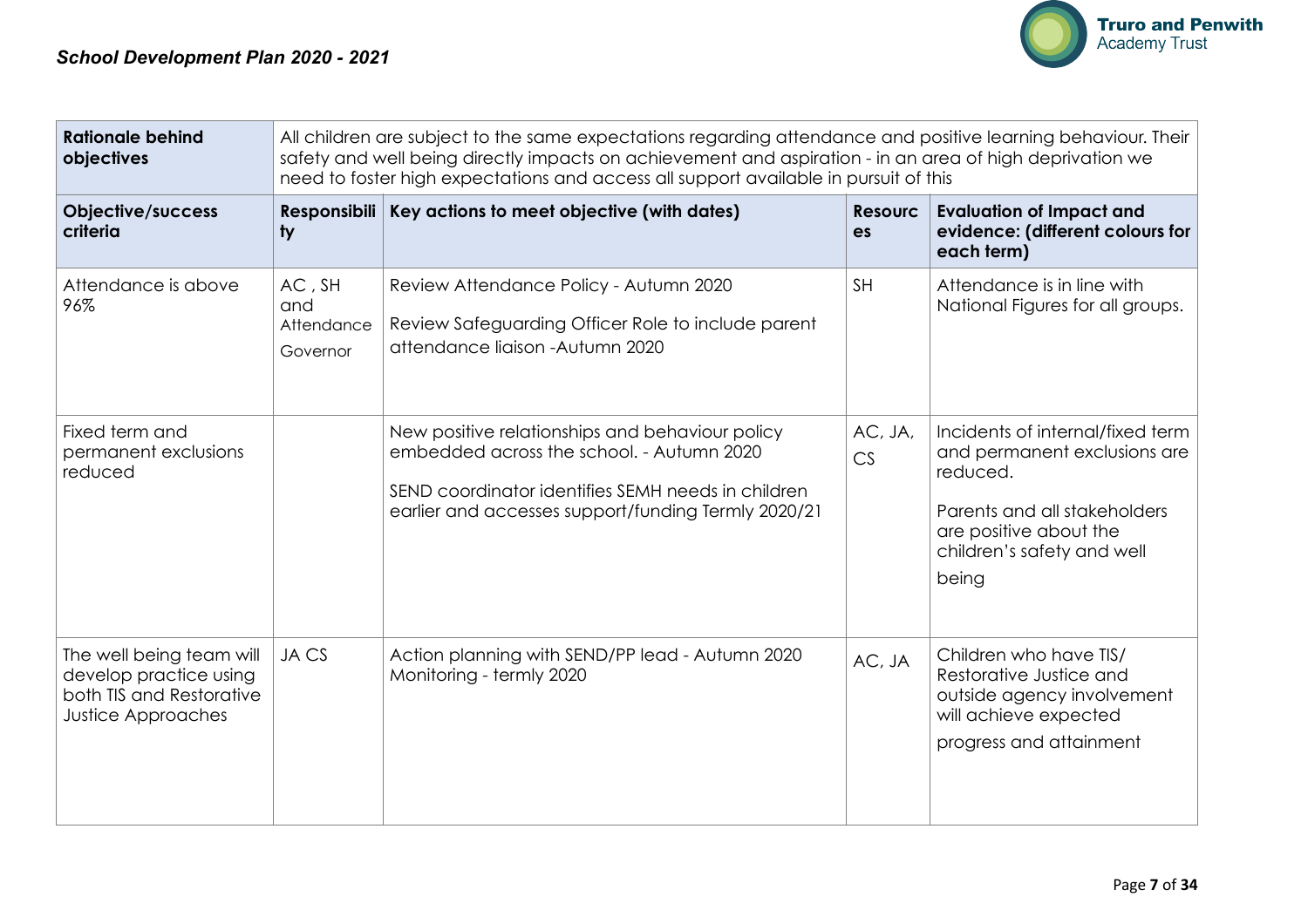

| <b>Rationale behind</b><br>objectives                                                                |                                              | All children are subject to the same expectations regarding attendance and positive learning behaviour. Their<br>safety and well being directly impacts on achievement and aspiration - in an area of high deprivation we<br>need to foster high expectations and access all support available in pursuit of this |                                   |                                                                                                                                                                               |  |  |
|------------------------------------------------------------------------------------------------------|----------------------------------------------|-------------------------------------------------------------------------------------------------------------------------------------------------------------------------------------------------------------------------------------------------------------------------------------------------------------------|-----------------------------------|-------------------------------------------------------------------------------------------------------------------------------------------------------------------------------|--|--|
| Objective/success<br>criteria                                                                        | ty                                           | Responsibili   Key actions to meet objective (with dates)                                                                                                                                                                                                                                                         | <b>Resourc</b><br>es              | <b>Evaluation of Impact and</b><br>evidence: (different colours for<br>each term)                                                                                             |  |  |
| Attendance is above<br>96%                                                                           | $AC$ , $SH$<br>and<br>Attendance<br>Governor | Review Attendance Policy - Autumn 2020<br>Review Safeguarding Officer Role to include parent<br>attendance liaison - Autumn 2020                                                                                                                                                                                  | <b>SH</b>                         | Attendance is in line with<br>National Figures for all groups.                                                                                                                |  |  |
| Fixed term and<br>permanent exclusions<br>reduced                                                    |                                              | New positive relationships and behaviour policy<br>embedded across the school. - Autumn 2020<br>SEND coordinator identifies SEMH needs in children<br>earlier and accesses support/funding Termly 2020/21                                                                                                         | AC, JA,<br>$\mathbb{C}\mathsf{S}$ | Incidents of internal/fixed term<br>and permanent exclusions are<br>reduced.<br>Parents and all stakeholders<br>are positive about the<br>children's safety and well<br>being |  |  |
| The well being team will<br>develop practice using<br>both TIS and Restorative<br>Justice Approaches | JA CS                                        | Action planning with SEND/PP lead - Autumn 2020<br>Monitoring - termly 2020                                                                                                                                                                                                                                       | AC, JA                            | Children who have TIS/<br>Restorative Justice and<br>outside agency involvement<br>will achieve expected<br>progress and attainment                                           |  |  |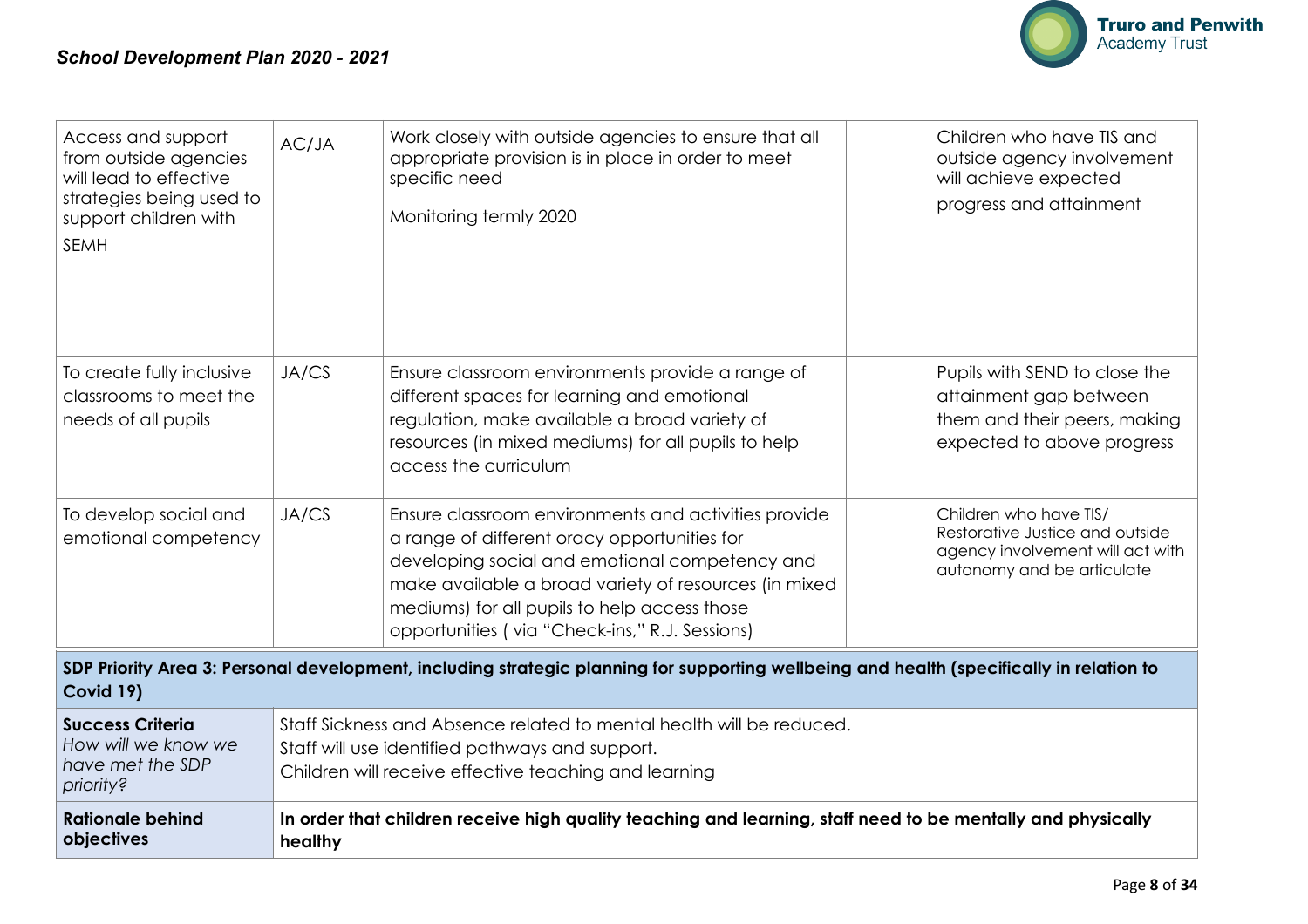

| Access and support<br>from outside agencies<br>will lead to effective<br>strategies being used to<br>support children with<br><b>SEMH</b>             | AC/JA   | Work closely with outside agencies to ensure that all<br>appropriate provision is in place in order to meet<br>specific need<br>Monitoring termly 2020                                                                                                                                                            | Children who have TIS and<br>outside agency involvement<br>will achieve expected<br>progress and attainment                 |  |  |  |
|-------------------------------------------------------------------------------------------------------------------------------------------------------|---------|-------------------------------------------------------------------------------------------------------------------------------------------------------------------------------------------------------------------------------------------------------------------------------------------------------------------|-----------------------------------------------------------------------------------------------------------------------------|--|--|--|
| To create fully inclusive<br>classrooms to meet the<br>needs of all pupils                                                                            | JA/CS   | Ensure classroom environments provide a range of<br>different spaces for learning and emotional<br>regulation, make available a broad variety of<br>resources (in mixed mediums) for all pupils to help<br>access the curriculum                                                                                  | Pupils with SEND to close the<br>attainment gap between<br>them and their peers, making<br>expected to above progress       |  |  |  |
| To develop social and<br>emotional competency                                                                                                         | JA/CS   | Ensure classroom environments and activities provide<br>a range of different oracy opportunities for<br>developing social and emotional competency and<br>make available a broad variety of resources (in mixed<br>mediums) for all pupils to help access those<br>opportunities (via "Check-ins," R.J. Sessions) | Children who have TIS/<br>Restorative Justice and outside<br>agency involvement will act with<br>autonomy and be articulate |  |  |  |
| SDP Priority Area 3: Personal development, including strategic planning for supporting wellbeing and health (specifically in relation to<br>Covid 19) |         |                                                                                                                                                                                                                                                                                                                   |                                                                                                                             |  |  |  |
| <b>Success Criteria</b><br>How will we know we<br>have met the SDP<br>priority?                                                                       |         | Staff Sickness and Absence related to mental health will be reduced.<br>Staff will use identified pathways and support.<br>Children will receive effective teaching and learning                                                                                                                                  |                                                                                                                             |  |  |  |
| <b>Rationale behind</b><br>objectives                                                                                                                 | healthy | In order that children receive high quality teaching and learning, staff need to be mentally and physically                                                                                                                                                                                                       |                                                                                                                             |  |  |  |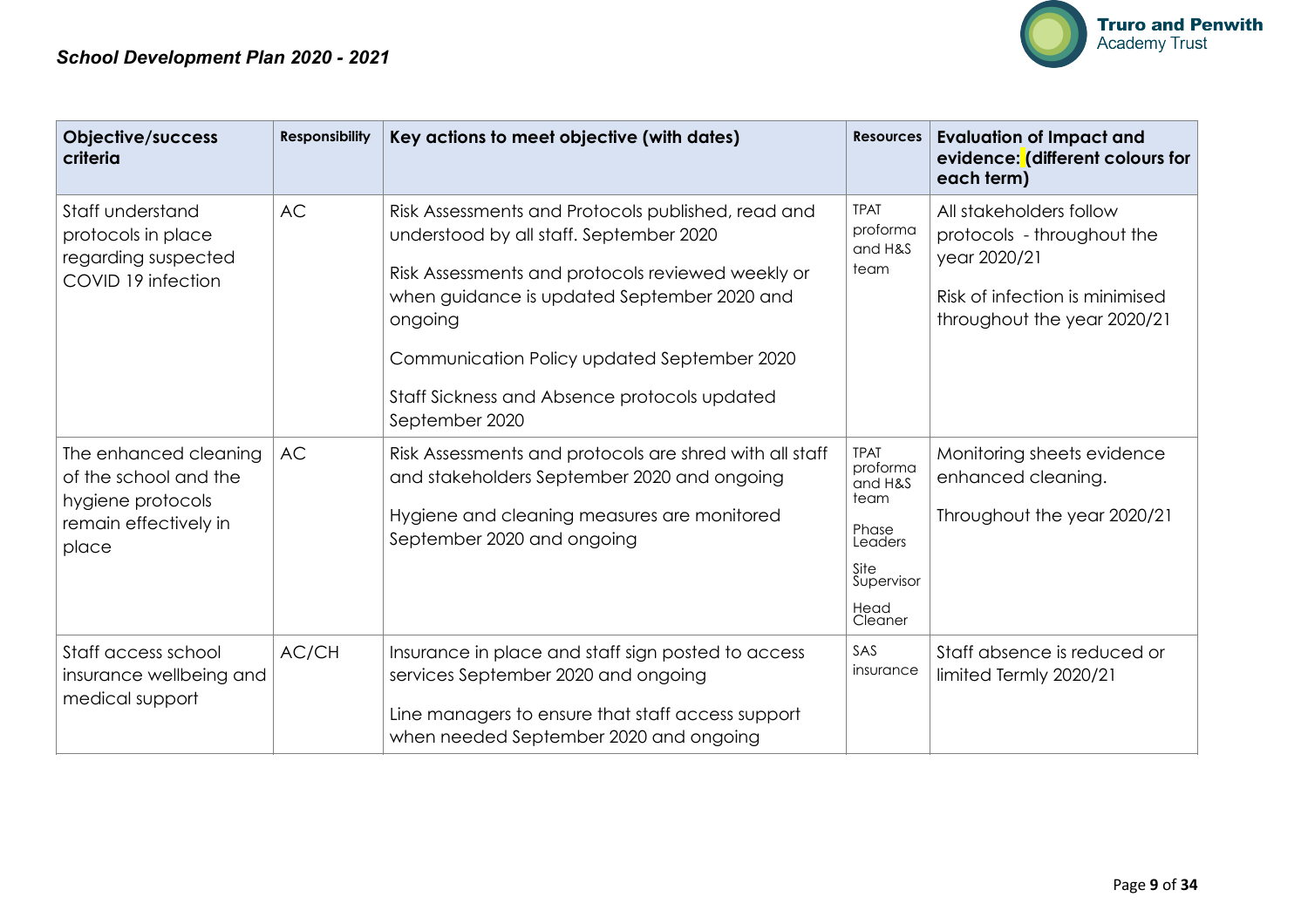

| Objective/success<br>criteria                                                                         | <b>Responsibility</b> | Key actions to meet objective (with dates)                                                                                                                                                                                                                                                                                    | <b>Resources</b>                                                                                        | <b>Evaluation of Impact and</b><br>evidence: (different colours for<br>each term)                                                      |
|-------------------------------------------------------------------------------------------------------|-----------------------|-------------------------------------------------------------------------------------------------------------------------------------------------------------------------------------------------------------------------------------------------------------------------------------------------------------------------------|---------------------------------------------------------------------------------------------------------|----------------------------------------------------------------------------------------------------------------------------------------|
| Staff understand<br>protocols in place<br>regarding suspected<br>COVID 19 infection                   | <b>AC</b>             | Risk Assessments and Protocols published, read and<br>understood by all staff. September 2020<br>Risk Assessments and protocols reviewed weekly or<br>when guidance is updated September 2020 and<br>ongoing<br>Communication Policy updated September 2020<br>Staff Sickness and Absence protocols updated<br>September 2020 | <b>TPAT</b><br>proforma<br>and H&S<br>team                                                              | All stakeholders follow<br>protocols - throughout the<br>year 2020/21<br>Risk of infection is minimised<br>throughout the year 2020/21 |
| The enhanced cleaning<br>of the school and the<br>hygiene protocols<br>remain effectively in<br>place | <b>AC</b>             | Risk Assessments and protocols are shred with all staff<br>and stakeholders September 2020 and ongoing<br>Hygiene and cleaning measures are monitored<br>September 2020 and ongoing                                                                                                                                           | <b>TPAT</b><br>proforma<br>and H&S<br>team<br>Phase<br>Leaders<br>Site<br>Supervisor<br>Head<br>Cleaner | Monitoring sheets evidence<br>enhanced cleaning.<br>Throughout the year 2020/21                                                        |
| Staff access school<br>insurance wellbeing and<br>medical support                                     | AC/CH                 | Insurance in place and staff sign posted to access<br>services September 2020 and ongoing<br>Line managers to ensure that staff access support<br>when needed September 2020 and ongoing                                                                                                                                      | SAS<br>insurance                                                                                        | Staff absence is reduced or<br>limited Termly 2020/21                                                                                  |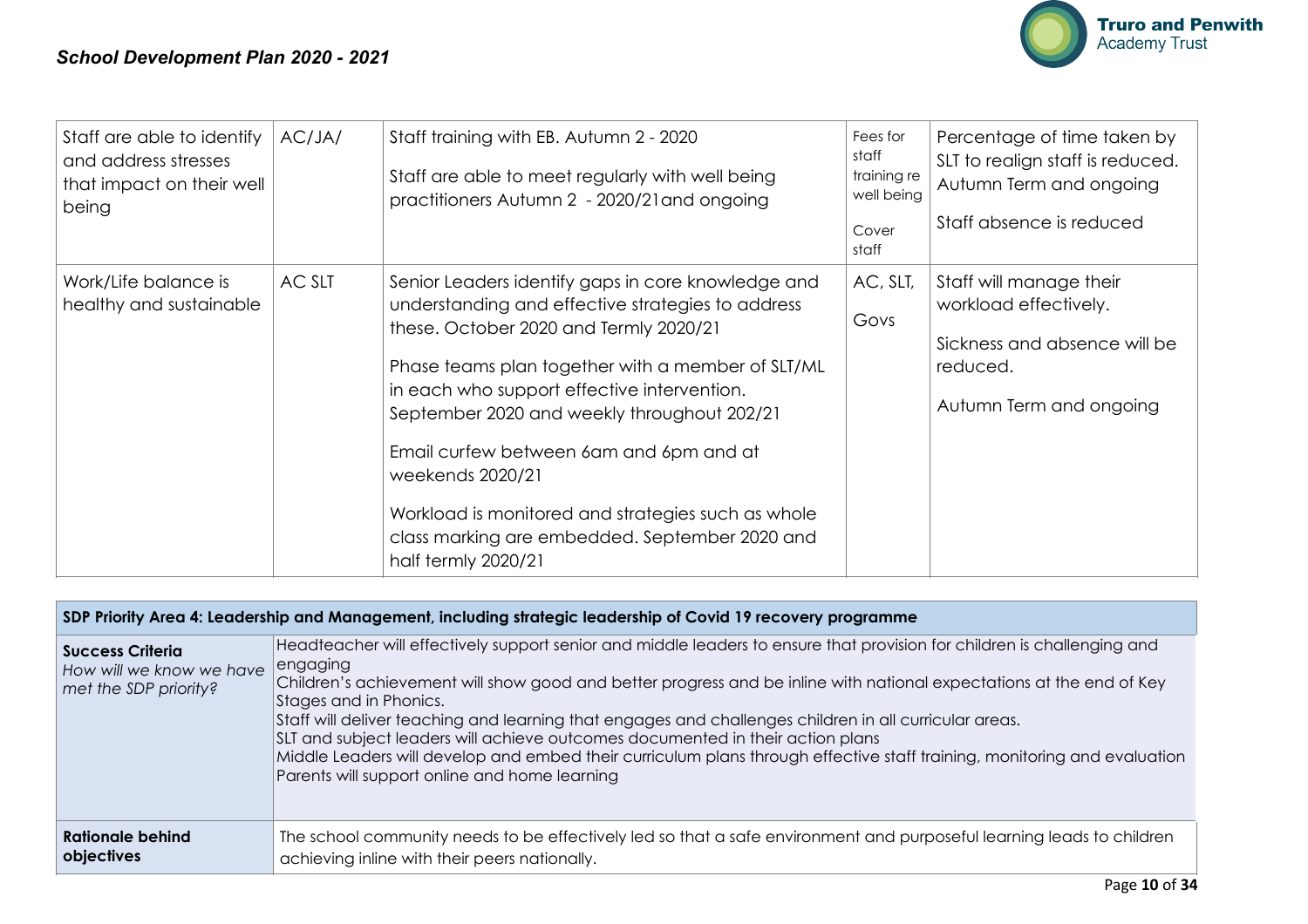

| Staff are able to identify<br>and address stresses<br>that impact on their well<br>being | AC/JA/ | Staff training with EB. Autumn 2 - 2020<br>Staff are able to meet regularly with well being<br>practitioners Autumn 2 - 2020/21 and ongoing                                                                                                                                                                                                                                                                                                                                                        | Fees for<br>staff<br>training re<br>well being<br>Cover<br>staff | Percentage of time taken by<br>SLT to realign staff is reduced.<br>Autumn Term and ongoing<br>Staff absence is reduced  |
|------------------------------------------------------------------------------------------|--------|----------------------------------------------------------------------------------------------------------------------------------------------------------------------------------------------------------------------------------------------------------------------------------------------------------------------------------------------------------------------------------------------------------------------------------------------------------------------------------------------------|------------------------------------------------------------------|-------------------------------------------------------------------------------------------------------------------------|
| Work/Life balance is<br>healthy and sustainable                                          | AC SLT | Senior Leaders identify gaps in core knowledge and<br>understanding and effective strategies to address<br>these. October 2020 and Termly 2020/21<br>Phase teams plan together with a member of SLT/ML<br>in each who support effective intervention.<br>September 2020 and weekly throughout 202/21<br>Email curfew between 6am and 6pm and at<br>weekends 2020/21<br>Workload is monitored and strategies such as whole<br>class marking are embedded. September 2020 and<br>half termly 2020/21 | AC, SLT,<br>Govs                                                 | Staff will manage their<br>workload effectively.<br>Sickness and absence will be<br>reduced.<br>Autumn Term and ongoing |

| SDP Priority Area 4: Leadership and Management, including strategic leadership of Covid 19 recovery programme |                                                                                                                                                                                                                                                                                                                                                                                                                                                                                                                                                                                                                                                                |  |  |  |
|---------------------------------------------------------------------------------------------------------------|----------------------------------------------------------------------------------------------------------------------------------------------------------------------------------------------------------------------------------------------------------------------------------------------------------------------------------------------------------------------------------------------------------------------------------------------------------------------------------------------------------------------------------------------------------------------------------------------------------------------------------------------------------------|--|--|--|
| <b>Success Criteria</b><br>How will we know we have<br>met the SDP priority?                                  | Headteacher will effectively support senior and middle leaders to ensure that provision for children is challenging and<br>engaging<br>Children's achievement will show good and better progress and be inline with national expectations at the end of Key<br>Stages and in Phonics.<br>Staff will deliver teaching and learning that engages and challenges children in all curricular areas.<br>SLT and subject leaders will achieve outcomes documented in their action plans<br>Middle Leaders will develop and embed their curriculum plans through effective staff training, monitoring and evaluation<br>Parents will support online and home learning |  |  |  |
| <b>Rationale behind</b><br>objectives                                                                         | The school community needs to be effectively led so that a safe environment and purposeful learning leads to children<br>achieving inline with their peers nationally.                                                                                                                                                                                                                                                                                                                                                                                                                                                                                         |  |  |  |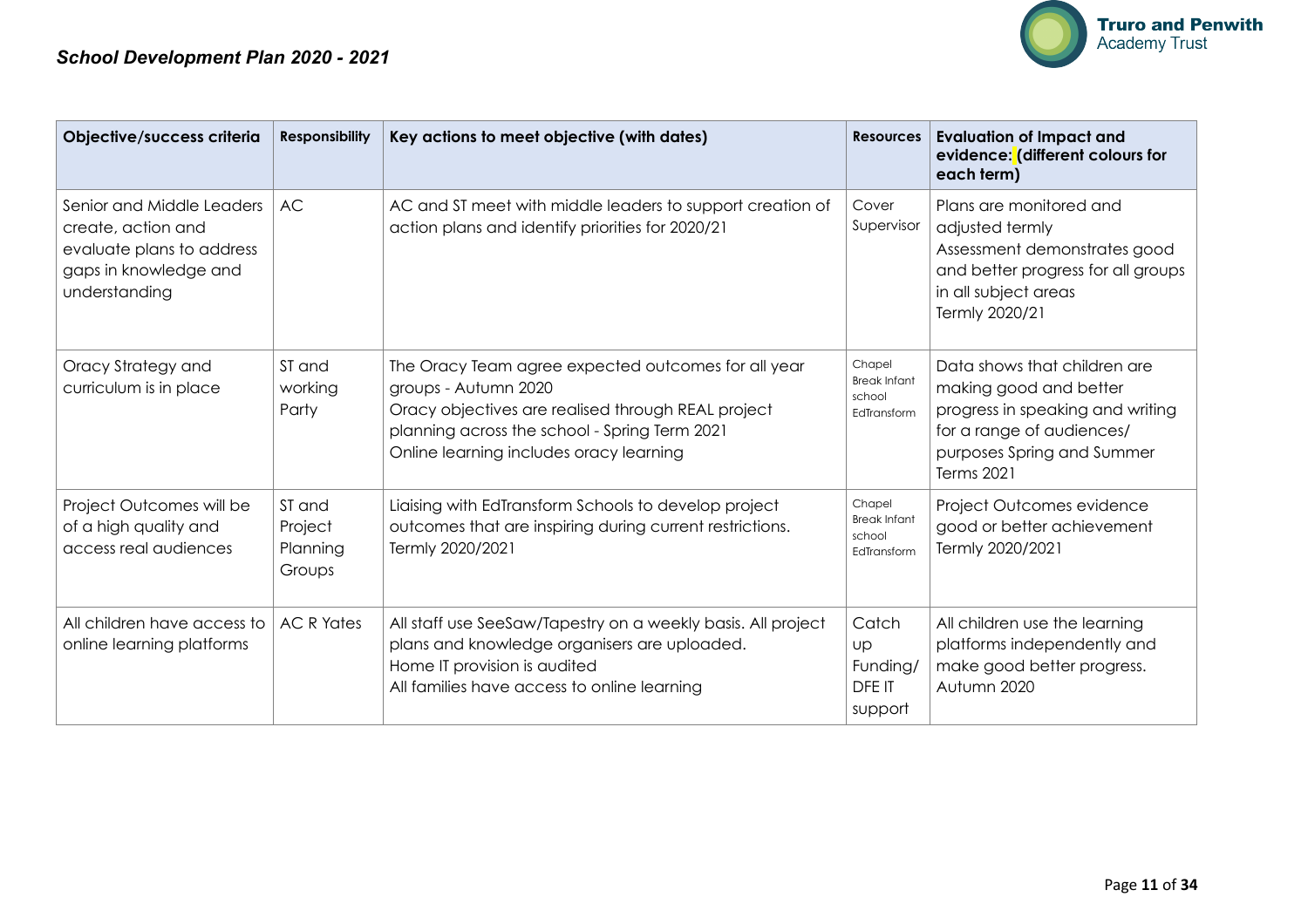

| Objective/success criteria                                                                                             | <b>Responsibility</b>                   | Key actions to meet objective (with dates)                                                                                                                                                                                    | <b>Resources</b>                                       | <b>Evaluation of Impact and</b><br>evidence: (different colours for<br>each term)                                                                                   |
|------------------------------------------------------------------------------------------------------------------------|-----------------------------------------|-------------------------------------------------------------------------------------------------------------------------------------------------------------------------------------------------------------------------------|--------------------------------------------------------|---------------------------------------------------------------------------------------------------------------------------------------------------------------------|
| Senior and Middle Leaders<br>create, action and<br>evaluate plans to address<br>gaps in knowledge and<br>understanding | <b>AC</b>                               | AC and ST meet with middle leaders to support creation of<br>action plans and identify priorities for 2020/21                                                                                                                 | Cover<br>Supervisor                                    | Plans are monitored and<br>adjusted termly<br>Assessment demonstrates good<br>and better progress for all groups<br>in all subject areas<br>Termly 2020/21          |
| Oracy Strategy and<br>curriculum is in place                                                                           | ST and<br>working<br>Party              | The Oracy Team agree expected outcomes for all year<br>groups - Autumn 2020<br>Oracy objectives are realised through REAL project<br>planning across the school - Spring Term 2021<br>Online learning includes oracy learning | Chapel<br><b>Break Infant</b><br>school<br>EdTransform | Data shows that children are<br>making good and better<br>progress in speaking and writing<br>for a range of audiences/<br>purposes Spring and Summer<br>Terms 2021 |
| Project Outcomes will be<br>of a high quality and<br>access real audiences                                             | ST and<br>Project<br>Planning<br>Groups | Liaising with EdTransform Schools to develop project<br>outcomes that are inspiring during current restrictions.<br>Termly 2020/2021                                                                                          | Chapel<br><b>Break Infant</b><br>school<br>EdTransform | Project Outcomes evidence<br>good or better achievement<br>Termly 2020/2021                                                                                         |
| All children have access to<br>online learning platforms                                                               | <b>AC R Yates</b>                       | All staff use SeeSaw/Tapestry on a weekly basis. All project<br>plans and knowledge organisers are uploaded.<br>Home IT provision is audited<br>All families have access to online learning                                   | Catch<br>Up<br>Funding/<br><b>DFEIT</b><br>support     | All children use the learning<br>platforms independently and<br>make good better progress.<br>Autumn 2020                                                           |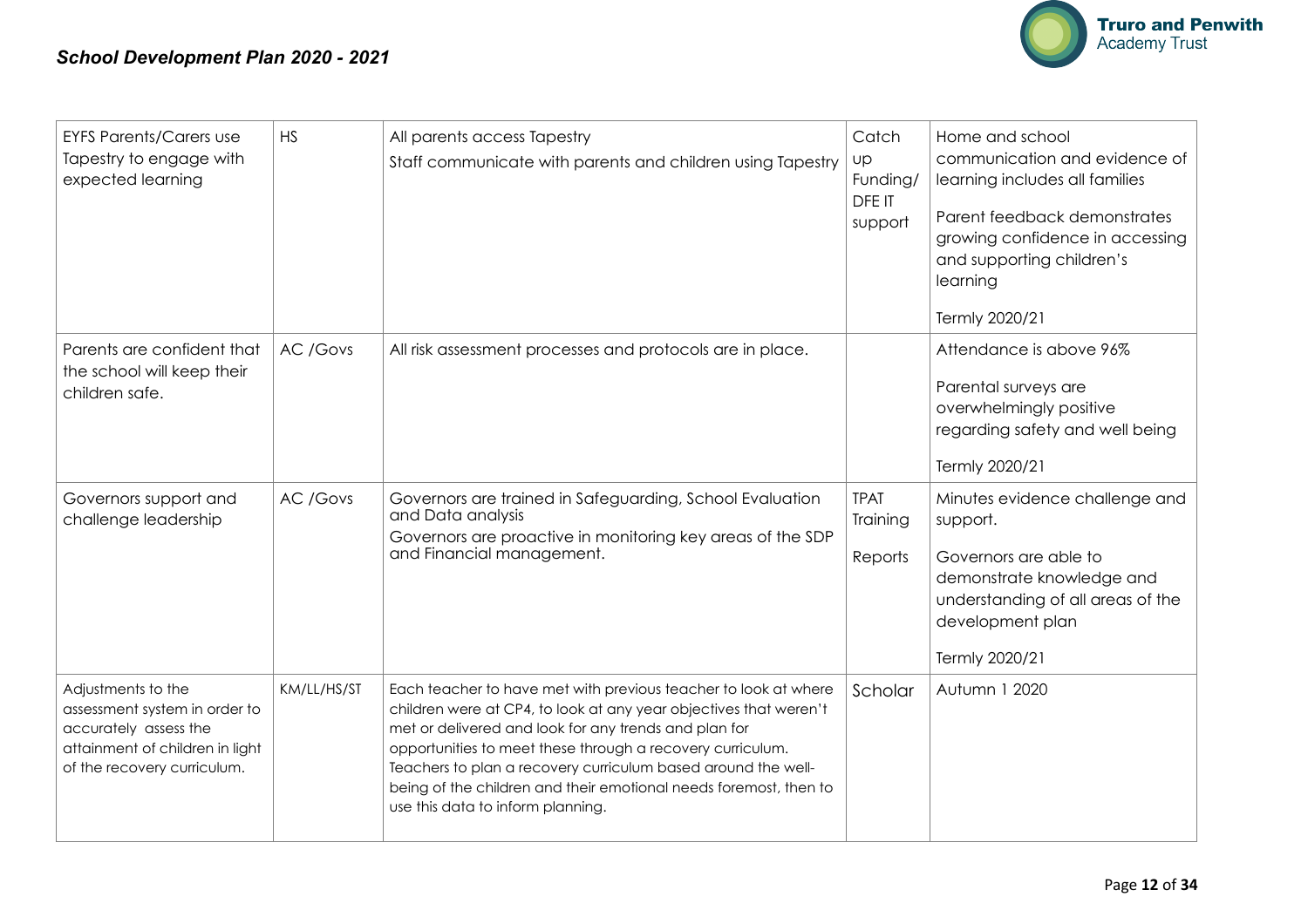

| <b>EYFS Parents/Carers use</b><br>Tapestry to engage with<br>expected learning                                                                 | <b>HS</b>   | All parents access Tapestry<br>Staff communicate with parents and children using Tapestry                                                                                                                                                                                                                                                                                                                                              | Catch<br><b>UP</b><br>Funding/<br>DFE IT<br>support | Home and school<br>communication and evidence of<br>learning includes all families<br>Parent feedback demonstrates<br>growing confidence in accessing<br>and supporting children's<br>learning<br>Termly 2020/21 |
|------------------------------------------------------------------------------------------------------------------------------------------------|-------------|----------------------------------------------------------------------------------------------------------------------------------------------------------------------------------------------------------------------------------------------------------------------------------------------------------------------------------------------------------------------------------------------------------------------------------------|-----------------------------------------------------|------------------------------------------------------------------------------------------------------------------------------------------------------------------------------------------------------------------|
| Parents are confident that<br>the school will keep their<br>children safe.                                                                     | AC /Govs    | All risk assessment processes and protocols are in place.                                                                                                                                                                                                                                                                                                                                                                              |                                                     | Attendance is above 96%<br>Parental surveys are<br>overwhelmingly positive<br>regarding safety and well being<br>Termly 2020/21                                                                                  |
| Governors support and<br>challenge leadership                                                                                                  | AC /Govs    | Governors are trained in Safeguarding, School Evaluation<br>and Data analysis<br>Governors are proactive in monitoring key areas of the SDP<br>and Financial management.                                                                                                                                                                                                                                                               | <b>TPAT</b><br>Training<br>Reports                  | Minutes evidence challenge and<br>support.<br>Governors are able to<br>demonstrate knowledge and<br>understanding of all areas of the<br>development plan<br>Termly 2020/21                                      |
| Adjustments to the<br>assessment system in order to<br>accurately assess the<br>attainment of children in light<br>of the recovery curriculum. | KM/LL/HS/ST | Each teacher to have met with previous teacher to look at where<br>children were at CP4, to look at any year objectives that weren't<br>met or delivered and look for any trends and plan for<br>opportunities to meet these through a recovery curriculum.<br>Teachers to plan a recovery curriculum based around the well-<br>being of the children and their emotional needs foremost, then to<br>use this data to inform planning. | Scholar                                             | Autumn 1 2020                                                                                                                                                                                                    |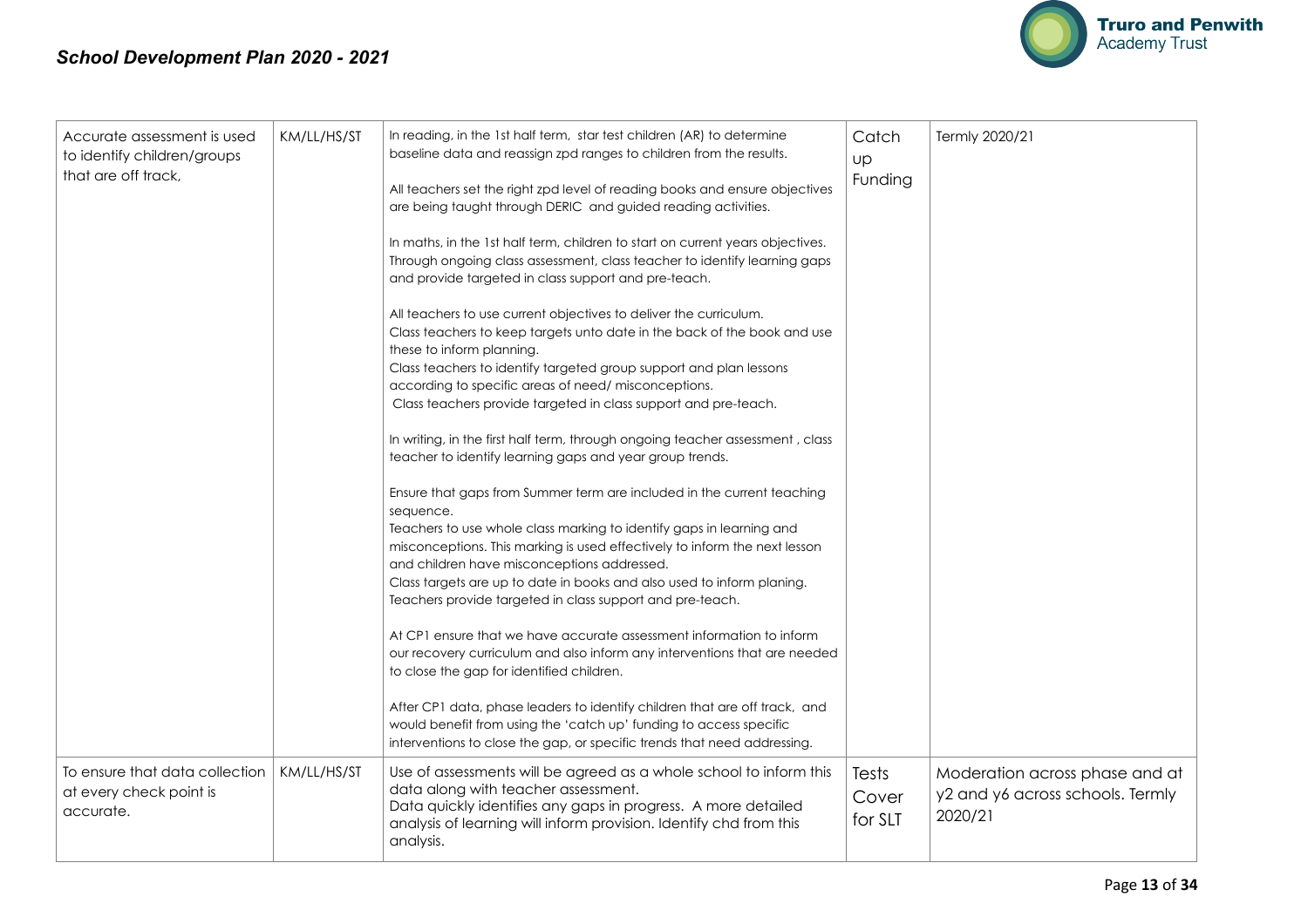

| Accurate assessment is used<br>to identify children/groups<br>that are off track, | KM/LL/HS/ST | In reading, in the 1st half term, star test children (AR) to determine<br>baseline data and reassign zpd ranges to children from the results.<br>All teachers set the right zpd level of reading books and ensure objectives<br>are being taught through DERIC and guided reading activities.<br>In maths, in the 1st half term, children to start on current years objectives.<br>Through ongoing class assessment, class teacher to identify learning gaps<br>and provide targeted in class support and pre-teach.<br>All teachers to use current objectives to deliver the curriculum.<br>Class teachers to keep targets unto date in the back of the book and use<br>these to inform planning.<br>Class teachers to identify targeted group support and plan lessons<br>according to specific areas of need/misconceptions.<br>Class teachers provide targeted in class support and pre-teach.<br>In writing, in the first half term, through ongoing teacher assessment, class<br>teacher to identify learning gaps and year group trends.<br>Ensure that gaps from Summer term are included in the current teaching<br>sequence.<br>Teachers to use whole class marking to identify gaps in learning and<br>misconceptions. This marking is used effectively to inform the next lesson<br>and children have misconceptions addressed.<br>Class targets are up to date in books and also used to inform planing.<br>Teachers provide targeted in class support and pre-teach.<br>At CP1 ensure that we have accurate assessment information to inform<br>our recovery curriculum and also inform any interventions that are needed<br>to close the gap for identified children.<br>After CP1 data, phase leaders to identify children that are off track, and<br>would benefit from using the 'catch up' funding to access specific<br>interventions to close the gap, or specific trends that need addressing. | Catch<br><b>up</b><br>Funding | Termly 2020/21                                                                |
|-----------------------------------------------------------------------------------|-------------|----------------------------------------------------------------------------------------------------------------------------------------------------------------------------------------------------------------------------------------------------------------------------------------------------------------------------------------------------------------------------------------------------------------------------------------------------------------------------------------------------------------------------------------------------------------------------------------------------------------------------------------------------------------------------------------------------------------------------------------------------------------------------------------------------------------------------------------------------------------------------------------------------------------------------------------------------------------------------------------------------------------------------------------------------------------------------------------------------------------------------------------------------------------------------------------------------------------------------------------------------------------------------------------------------------------------------------------------------------------------------------------------------------------------------------------------------------------------------------------------------------------------------------------------------------------------------------------------------------------------------------------------------------------------------------------------------------------------------------------------------------------------------------------------------------------------------------------------------------------------------------------------------------------------|-------------------------------|-------------------------------------------------------------------------------|
| To ensure that data collection<br>at every check point is<br>accurate.            | KM/LL/HS/ST | Use of assessments will be agreed as a whole school to inform this<br>data along with teacher assessment.<br>Data quickly identifies any gaps in progress. A more detailed<br>analysis of learning will inform provision. Identify chd from this<br>analysis.                                                                                                                                                                                                                                                                                                                                                                                                                                                                                                                                                                                                                                                                                                                                                                                                                                                                                                                                                                                                                                                                                                                                                                                                                                                                                                                                                                                                                                                                                                                                                                                                                                                        | Tests<br>Cover<br>for SLT     | Moderation across phase and at<br>y2 and y6 across schools. Termly<br>2020/21 |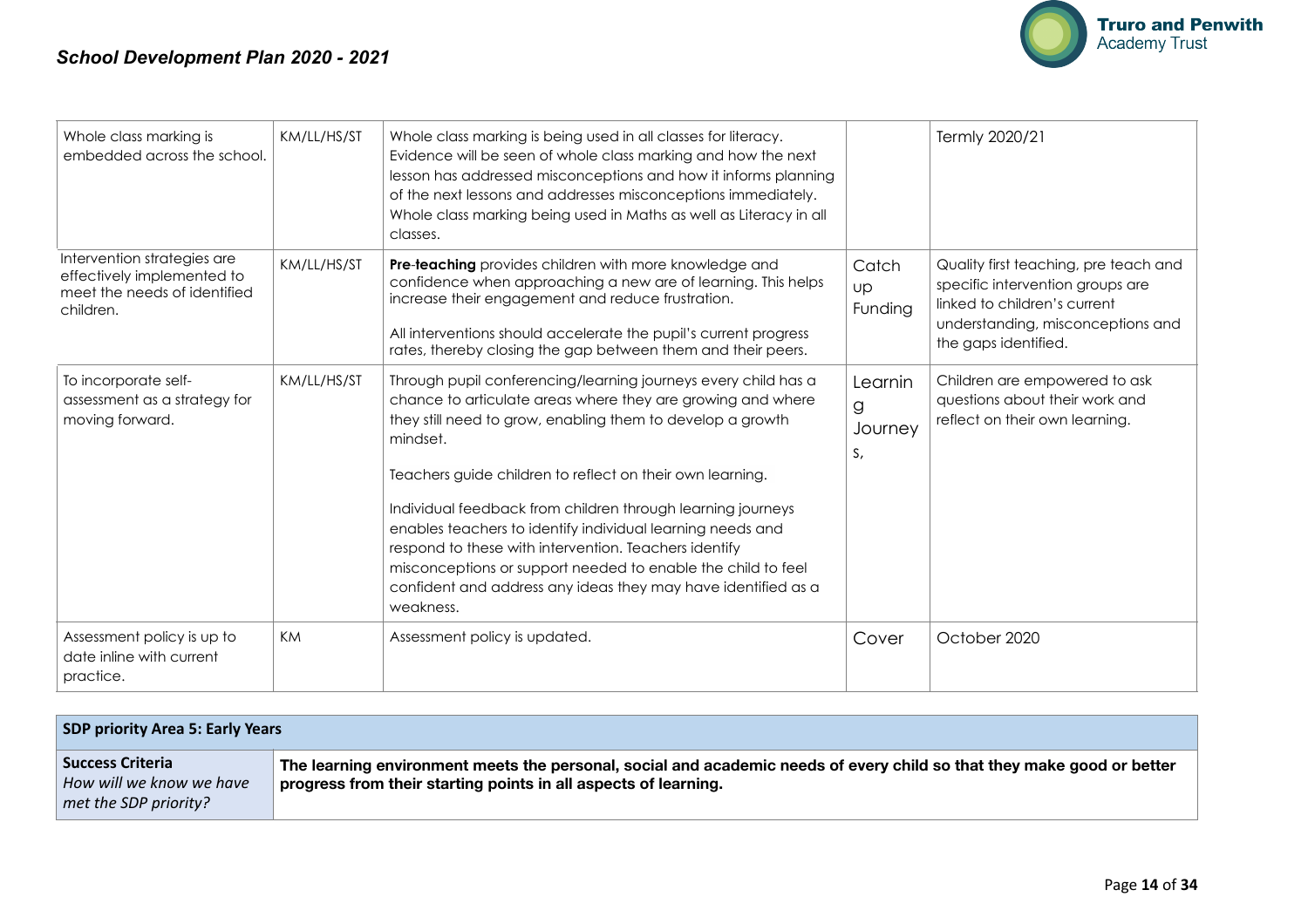

| Whole class marking is<br>embedded across the school.                                                  | KM/LL/HS/ST | Whole class marking is being used in all classes for literacy.<br>Evidence will be seen of whole class marking and how the next<br>lesson has addressed misconceptions and how it informs planning<br>of the next lessons and addresses misconceptions immediately.<br>Whole class marking being used in Maths as well as Literacy in all<br>classes.                                                                                                                                                                                                                                                    |                               | Termly 2020/21                                                                                                                                                         |
|--------------------------------------------------------------------------------------------------------|-------------|----------------------------------------------------------------------------------------------------------------------------------------------------------------------------------------------------------------------------------------------------------------------------------------------------------------------------------------------------------------------------------------------------------------------------------------------------------------------------------------------------------------------------------------------------------------------------------------------------------|-------------------------------|------------------------------------------------------------------------------------------------------------------------------------------------------------------------|
| Intervention strategies are<br>effectively implemented to<br>meet the needs of identified<br>children. | KM/LL/HS/ST | Pre-teaching provides children with more knowledge and<br>confidence when approaching a new are of learning. This helps<br>increase their engagement and reduce frustration.<br>All interventions should accelerate the pupil's current progress<br>rates, thereby closing the gap between them and their peers.                                                                                                                                                                                                                                                                                         | Catch<br>Up<br>Funding        | Quality first teaching, pre teach and<br>specific intervention groups are<br>linked to children's current<br>understanding, misconceptions and<br>the gaps identified. |
| To incorporate self-<br>assessment as a strategy for<br>moving forward.                                | KM/LL/HS/ST | Through pupil conferencing/learning journeys every child has a<br>chance to articulate areas where they are growing and where<br>they still need to grow, enabling them to develop a growth<br>mindset.<br>Teachers guide children to reflect on their own learning.<br>Individual feedback from children through learning journeys<br>enables teachers to identify individual learning needs and<br>respond to these with intervention. Teachers identify<br>misconceptions or support needed to enable the child to feel<br>confident and address any ideas they may have identified as a<br>weakness. | Learnin<br>g<br>Journey<br>S, | Children are empowered to ask<br>questions about their work and<br>reflect on their own learning.                                                                      |
| Assessment policy is up to<br>date inline with current<br>practice.                                    | KM          | Assessment policy is updated.                                                                                                                                                                                                                                                                                                                                                                                                                                                                                                                                                                            | Cover                         | October 2020                                                                                                                                                           |

| <b>SDP priority Area 5: Early Years</b>                                      |                                                                                                                                                                                           |  |  |  |  |
|------------------------------------------------------------------------------|-------------------------------------------------------------------------------------------------------------------------------------------------------------------------------------------|--|--|--|--|
| <b>Success Criteria</b><br>How will we know we have<br>met the SDP priority? | The learning environment meets the personal, social and academic needs of every child so that they make good or better<br>progress from their starting points in all aspects of learning. |  |  |  |  |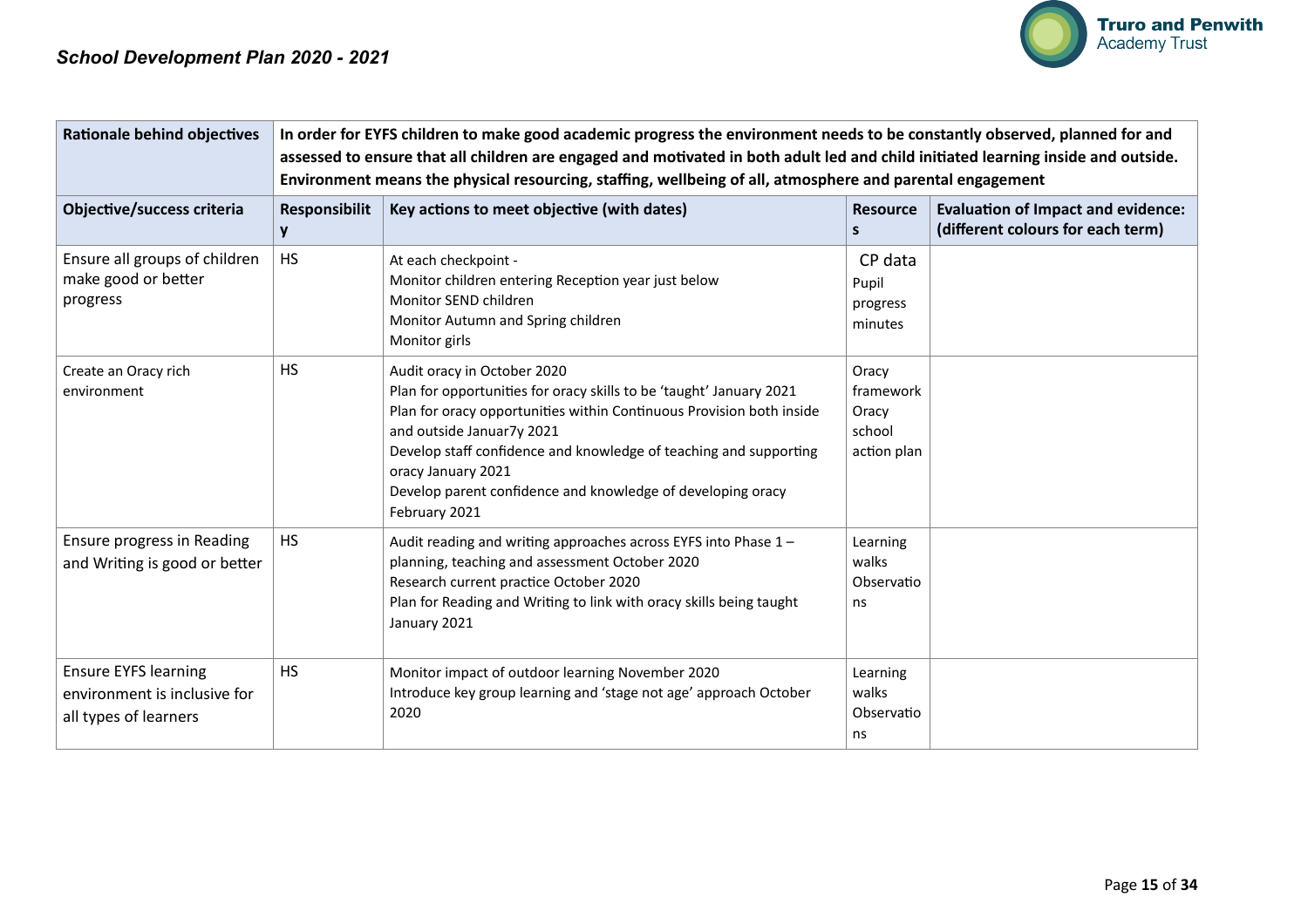| <b>Rationale behind objectives</b>                                                   | In order for EYFS children to make good academic progress the environment needs to be constantly observed, planned for and<br>assessed to ensure that all children are engaged and motivated in both adult led and child initiated learning inside and outside.<br>Environment means the physical resourcing, staffing, wellbeing of all, atmosphere and parental engagement |                                                                                                                                                                                                                                                                                                                                                                                    |                                                      |                                                                                |  |
|--------------------------------------------------------------------------------------|------------------------------------------------------------------------------------------------------------------------------------------------------------------------------------------------------------------------------------------------------------------------------------------------------------------------------------------------------------------------------|------------------------------------------------------------------------------------------------------------------------------------------------------------------------------------------------------------------------------------------------------------------------------------------------------------------------------------------------------------------------------------|------------------------------------------------------|--------------------------------------------------------------------------------|--|
| Objective/success criteria                                                           | Responsibilit<br>y                                                                                                                                                                                                                                                                                                                                                           | Key actions to meet objective (with dates)                                                                                                                                                                                                                                                                                                                                         | <b>Resource</b><br>S                                 | <b>Evaluation of Impact and evidence:</b><br>(different colours for each term) |  |
| Ensure all groups of children<br>make good or better<br>progress                     | <b>HS</b>                                                                                                                                                                                                                                                                                                                                                                    | At each checkpoint -<br>Monitor children entering Reception year just below<br>Monitor SEND children<br>Monitor Autumn and Spring children<br>Monitor girls                                                                                                                                                                                                                        | CP data<br>Pupil<br>progress<br>minutes              |                                                                                |  |
| Create an Oracy rich<br>environment                                                  | <b>HS</b>                                                                                                                                                                                                                                                                                                                                                                    | Audit oracy in October 2020<br>Plan for opportunities for oracy skills to be 'taught' January 2021<br>Plan for oracy opportunities within Continuous Provision both inside<br>and outside Januar7y 2021<br>Develop staff confidence and knowledge of teaching and supporting<br>oracy January 2021<br>Develop parent confidence and knowledge of developing oracy<br>February 2021 | Oracy<br>framework<br>Oracy<br>school<br>action plan |                                                                                |  |
| Ensure progress in Reading<br>and Writing is good or better                          | <b>HS</b>                                                                                                                                                                                                                                                                                                                                                                    | Audit reading and writing approaches across EYFS into Phase 1-<br>planning, teaching and assessment October 2020<br>Research current practice October 2020<br>Plan for Reading and Writing to link with oracy skills being taught<br>January 2021                                                                                                                                  | Learning<br>walks<br>Observatio<br>ns                |                                                                                |  |
| <b>Ensure EYFS learning</b><br>environment is inclusive for<br>all types of learners | <b>HS</b>                                                                                                                                                                                                                                                                                                                                                                    | Monitor impact of outdoor learning November 2020<br>Introduce key group learning and 'stage not age' approach October<br>2020                                                                                                                                                                                                                                                      | Learning<br>walks<br>Observatio<br>ns                |                                                                                |  |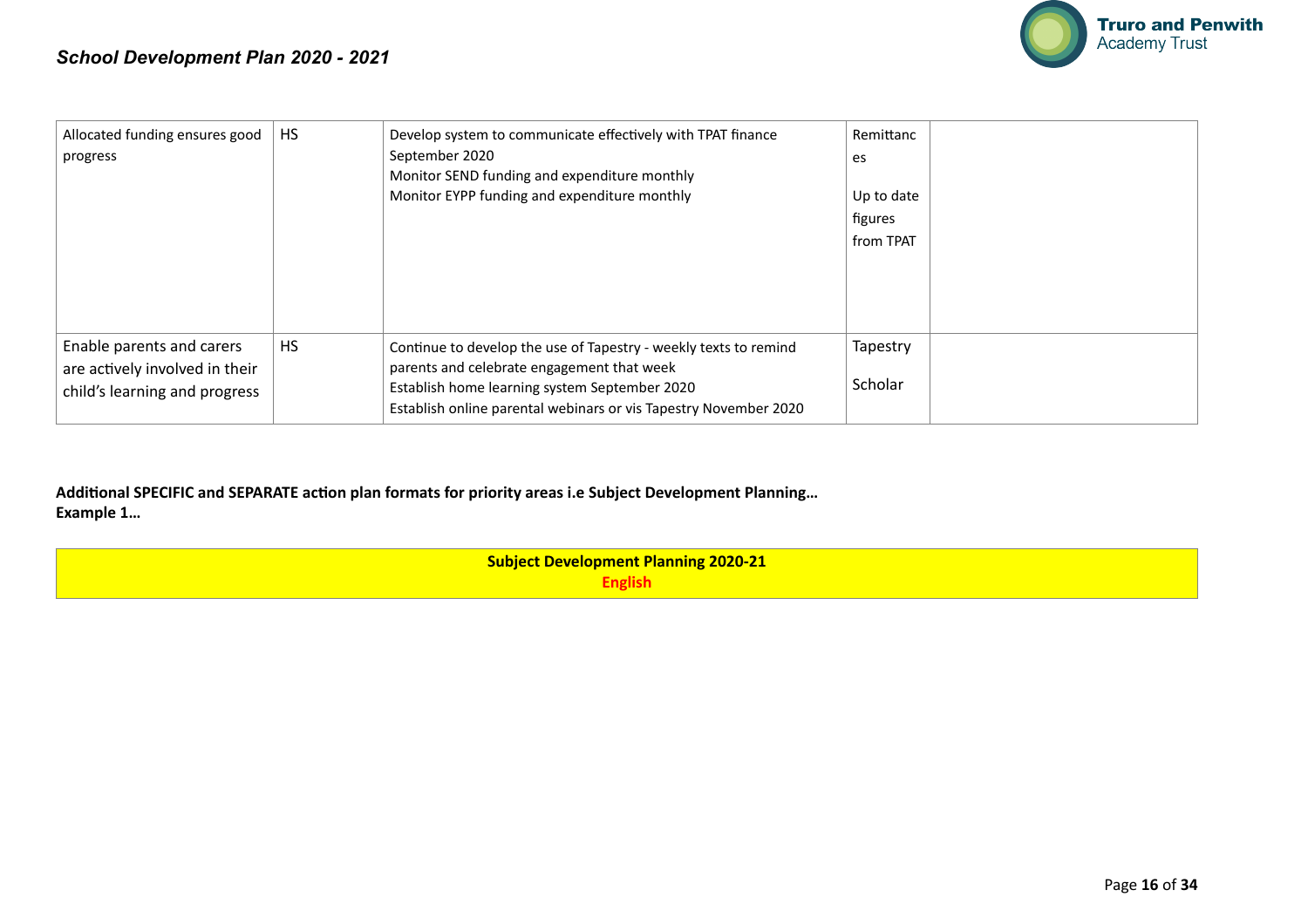

| Allocated funding ensures good<br>progress                                                   | <b>HS</b> | Develop system to communicate effectively with TPAT finance<br>September 2020<br>Monitor SEND funding and expenditure monthly<br>Monitor EYPP funding and expenditure monthly                                                       | Remittanc<br>es<br>Up to date<br>figures<br>from TPAT |  |
|----------------------------------------------------------------------------------------------|-----------|-------------------------------------------------------------------------------------------------------------------------------------------------------------------------------------------------------------------------------------|-------------------------------------------------------|--|
| Enable parents and carers<br>are actively involved in their<br>child's learning and progress | <b>HS</b> | Continue to develop the use of Tapestry - weekly texts to remind<br>parents and celebrate engagement that week<br>Establish home learning system September 2020<br>Establish online parental webinars or vis Tapestry November 2020 | Tapestry<br>Scholar                                   |  |

Additional SPECIFIC and SEPARATE action plan formats for priority areas i.e Subject Development Planning... **Example 1…** 

> **Subject Development Planning 2020-21 English**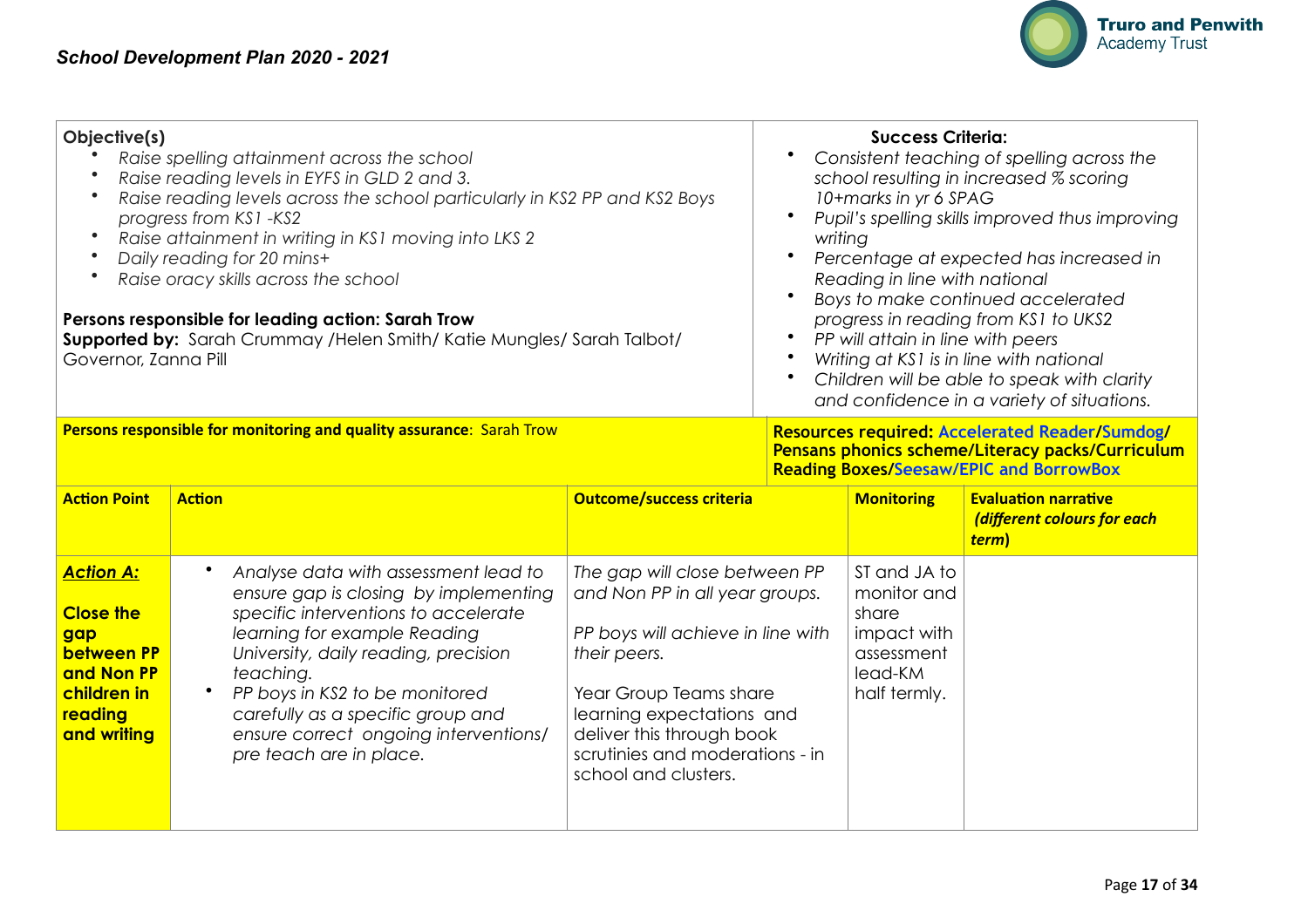

| Objective(s)<br>Raise spelling attainment across the school<br>Raise reading levels in EYFS in GLD 2 and 3.<br>Raise reading levels across the school particularly in KS2 PP and KS2 Boys<br>progress from KS1-KS2<br>Raise attainment in writing in KS1 moving into LKS 2<br>Daily reading for 20 mins+<br>$\bullet$<br>Raise oracy skills across the school<br>Persons responsible for leading action: Sarah Trow<br><b>Supported by:</b> Sarah Crummay / Helen Smith / Katie Mungles / Sarah Talbot /<br>Governor, Zanna Pill |  |  |                                                                                                                                                      | <b>Success Criteria:</b><br>Consistent teaching of spelling across the<br>school resulting in increased % scoring<br>10+marks in yr 6 SPAG<br>Pupil's spelling skills improved thus improving<br>writing<br>Percentage at expected has increased in<br>Reading in line with national<br>Boys to make continued accelerated<br>progress in reading from KS1 to UKS2<br>PP will attain in line with peers<br>Writing at KS1 is in line with national<br>Children will be able to speak with clarity<br>and confidence in a variety of situations. |                                                                     |  |  |
|----------------------------------------------------------------------------------------------------------------------------------------------------------------------------------------------------------------------------------------------------------------------------------------------------------------------------------------------------------------------------------------------------------------------------------------------------------------------------------------------------------------------------------|--|--|------------------------------------------------------------------------------------------------------------------------------------------------------|-------------------------------------------------------------------------------------------------------------------------------------------------------------------------------------------------------------------------------------------------------------------------------------------------------------------------------------------------------------------------------------------------------------------------------------------------------------------------------------------------------------------------------------------------|---------------------------------------------------------------------|--|--|
| Persons responsible for monitoring and quality assurance: Sarah Trow                                                                                                                                                                                                                                                                                                                                                                                                                                                             |  |  | Resources required: Accelerated Reader/Sumdog/<br>Pensans phonics scheme/Literacy packs/Curriculum<br><b>Reading Boxes/Seesaw/EPIC and BorrowBox</b> |                                                                                                                                                                                                                                                                                                                                                                                                                                                                                                                                                 |                                                                     |  |  |
| <b>Action Point</b><br><b>Outcome/success criteria</b><br><b>Action</b>                                                                                                                                                                                                                                                                                                                                                                                                                                                          |  |  |                                                                                                                                                      | <b>Monitoring</b>                                                                                                                                                                                                                                                                                                                                                                                                                                                                                                                               | <b>Evaluation narrative</b><br>(different colours for each<br>term) |  |  |
| <b>Action A:</b><br>Analyse data with assessment lead to<br>The gap will close between PP<br>and Non PP in all year groups.<br>ensure gap is closing by implementing                                                                                                                                                                                                                                                                                                                                                             |  |  |                                                                                                                                                      | ST and JA to<br>monitor and                                                                                                                                                                                                                                                                                                                                                                                                                                                                                                                     |                                                                     |  |  |

|                                                                                                                  |                                                                                                                                                                                                                                                                                                                                                       |                                                                                                                                                                                                                                                                     |                                                                                              | (different colours for each<br>term) |
|------------------------------------------------------------------------------------------------------------------|-------------------------------------------------------------------------------------------------------------------------------------------------------------------------------------------------------------------------------------------------------------------------------------------------------------------------------------------------------|---------------------------------------------------------------------------------------------------------------------------------------------------------------------------------------------------------------------------------------------------------------------|----------------------------------------------------------------------------------------------|--------------------------------------|
| <b>Action A:</b><br><b>Close the</b><br>gap<br>between PP<br>and Non PP<br>children in<br>reading<br>and writing | Analyse data with assessment lead to<br>ensure gap is closing by implementing<br>specific interventions to accelerate<br>learning for example Reading<br>University, daily reading, precision<br>teaching.<br>PP boys in KS2 to be monitored<br>carefully as a specific group and<br>ensure correct ongoing interventions/<br>pre teach are in place. | The gap will close between PP<br>and Non PP in all year groups.<br>PP boys will achieve in line with<br>their peers.<br>Year Group Teams share<br>learning expectations and<br>deliver this through book<br>scrutinies and moderations - in<br>school and clusters. | ST and JA to<br>monitor and<br>share<br>impact with<br>assessment<br>lead-KM<br>half termly. |                                      |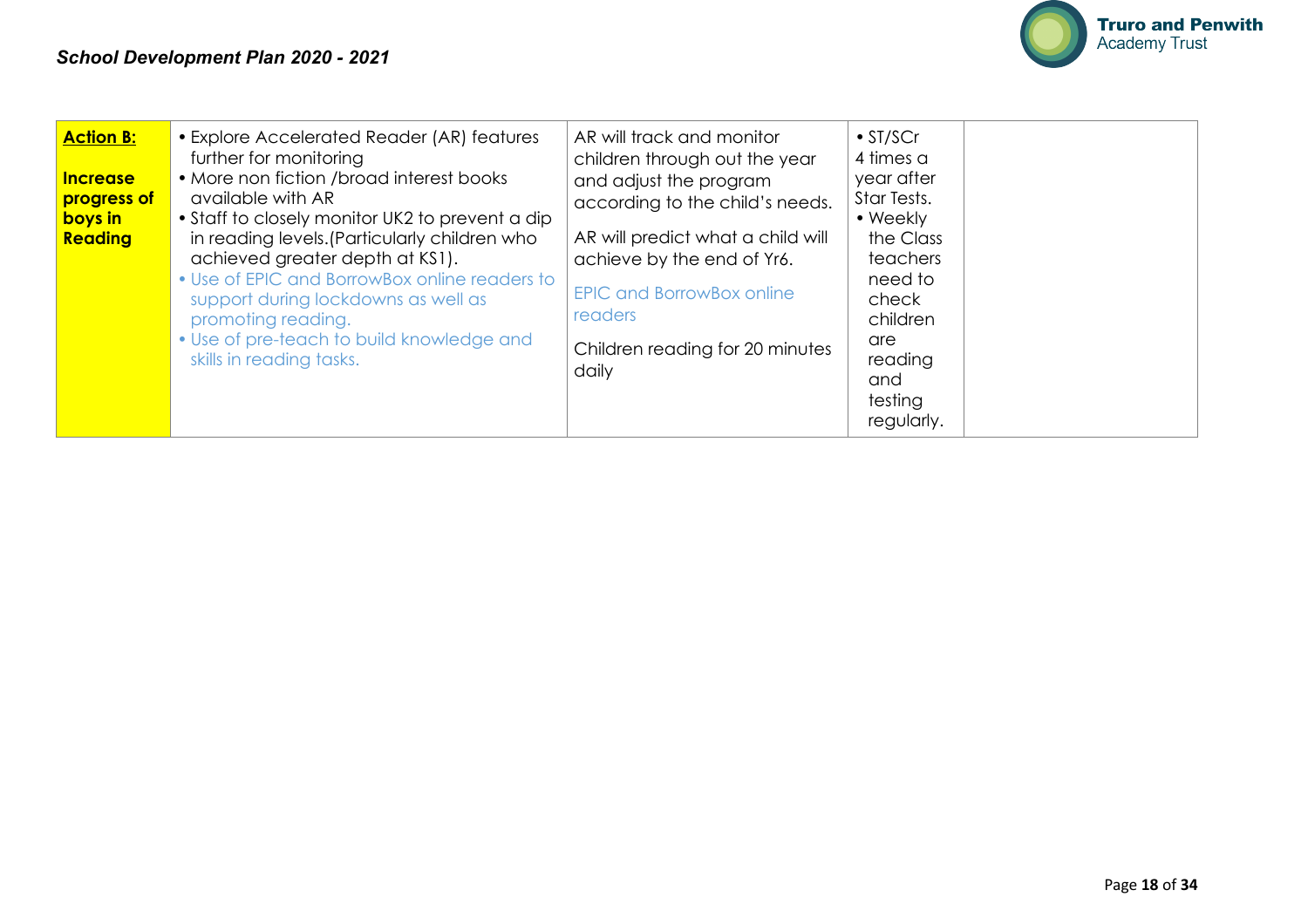

| <b>Action B:</b><br><b>Increase</b><br>progress of<br>boys in<br>Reading | • Explore Accelerated Reader (AR) features<br>further for monitoring<br>• More non fiction /broad interest books<br>available with AR<br>• Staff to closely monitor UK2 to prevent a dip<br>in reading levels. (Particularly children who<br>achieved greater depth at KS1).<br>• Use of EPIC and BorrowBox online readers to<br>support during lockdowns as well as<br>promoting reading.<br>• Use of pre-teach to build knowledge and<br>skills in reading tasks. | AR will track and monitor<br>children through out the year<br>and adjust the program<br>according to the child's needs.<br>AR will predict what a child will<br>achieve by the end of Yr6.<br><b>EPIC and BorrowBox online</b><br>readers<br>Children reading for 20 minutes<br>daily | $\bullet$ ST/SCr<br>4 times a<br>year after<br>Star Tests.<br>• Weekly<br>the Class<br>teachers<br>need to<br>check<br>children<br>are<br>reading<br>and<br>testing<br>regularly. |  |  |
|--------------------------------------------------------------------------|---------------------------------------------------------------------------------------------------------------------------------------------------------------------------------------------------------------------------------------------------------------------------------------------------------------------------------------------------------------------------------------------------------------------------------------------------------------------|---------------------------------------------------------------------------------------------------------------------------------------------------------------------------------------------------------------------------------------------------------------------------------------|-----------------------------------------------------------------------------------------------------------------------------------------------------------------------------------|--|--|
|--------------------------------------------------------------------------|---------------------------------------------------------------------------------------------------------------------------------------------------------------------------------------------------------------------------------------------------------------------------------------------------------------------------------------------------------------------------------------------------------------------------------------------------------------------|---------------------------------------------------------------------------------------------------------------------------------------------------------------------------------------------------------------------------------------------------------------------------------------|-----------------------------------------------------------------------------------------------------------------------------------------------------------------------------------|--|--|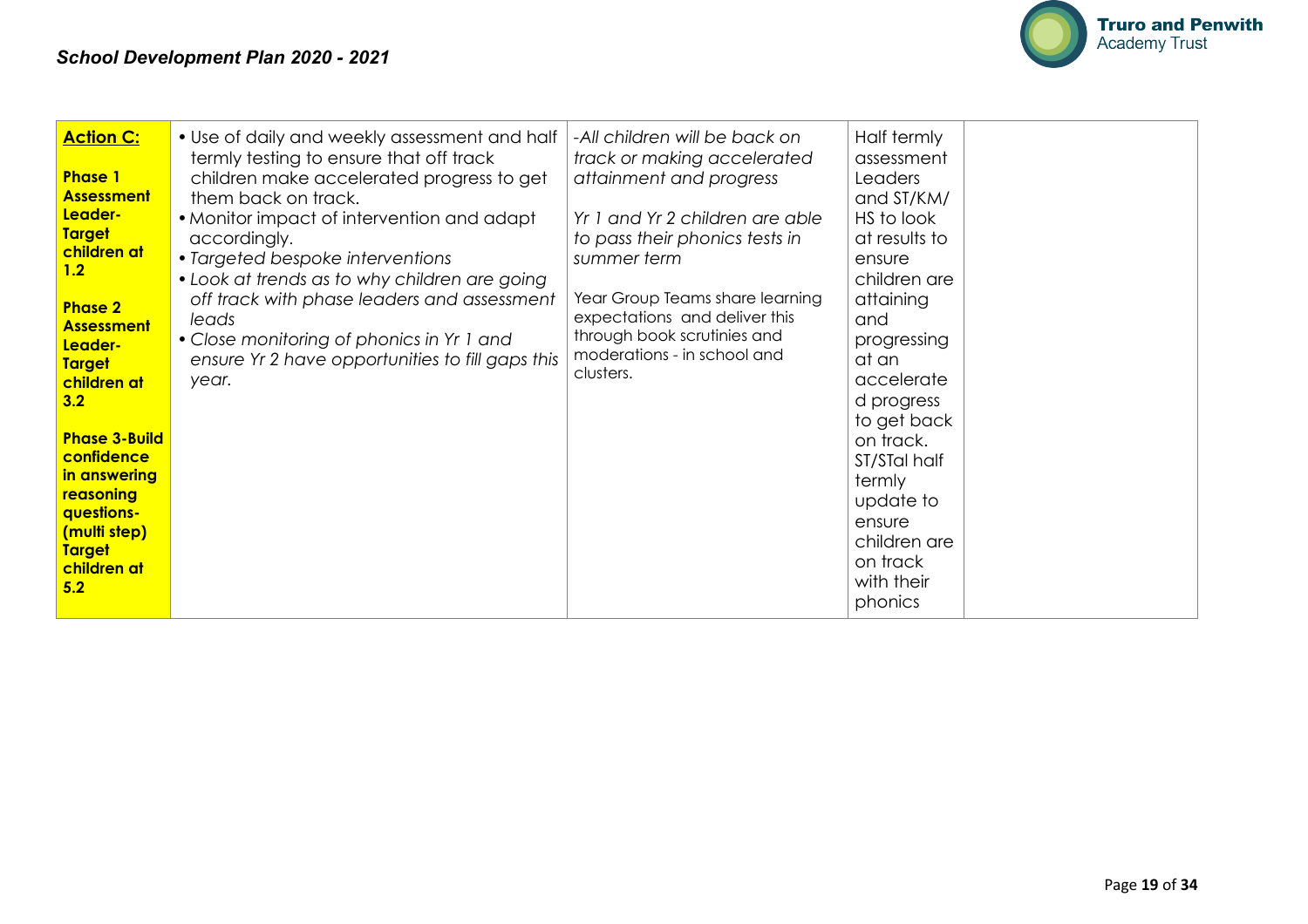

| <b>Action C:</b><br>• Use of daily and weekly assessment and half<br>-All children will be back on<br>termly testing to ensure that off track<br><b>Phase 1</b><br>children make accelerated progress to get<br><b>Assessment</b><br>them back on track.<br>Leader-<br>• Monitor impact of intervention and adapt<br><b>Target</b><br>accordingly.<br>children at<br>• Targeted bespoke interventions<br>1.2<br>• Look at trends as to why children are going<br>off track with phase leaders and assessment<br><b>Phase 2</b><br>leads<br><b>Assessment</b><br>• Close monitoring of phonics in Yr 1 and<br>Leader-<br>ensure Yr 2 have opportunities to fill gaps this<br><b>Target</b><br>clusters.<br>children at<br>year.<br>3.2<br><b>Phase 3-Build</b><br>confidence<br>in answering<br>reasoning<br>questions-<br>(multi step)<br><b>Target</b><br>children at<br>5.2 | Half termly<br>track or making accelerated<br>assessment<br>attainment and progress<br>Leaders<br>and ST/KM/<br>HS to look<br>Yr 1 and Yr 2 children are able<br>at results to<br>to pass their phonics tests in<br>summer term<br>ensure<br>children are<br>Year Group Teams share learning<br>attaining<br>expectations and deliver this<br>and<br>through book scrutinies and<br>progressing<br>moderations - in school and<br>at an<br>accelerate<br>d progress<br>to get back<br>on track.<br>ST/STal half<br>termly<br>update to<br>ensure<br>children are<br>on track<br>with their |  |
|-------------------------------------------------------------------------------------------------------------------------------------------------------------------------------------------------------------------------------------------------------------------------------------------------------------------------------------------------------------------------------------------------------------------------------------------------------------------------------------------------------------------------------------------------------------------------------------------------------------------------------------------------------------------------------------------------------------------------------------------------------------------------------------------------------------------------------------------------------------------------------|--------------------------------------------------------------------------------------------------------------------------------------------------------------------------------------------------------------------------------------------------------------------------------------------------------------------------------------------------------------------------------------------------------------------------------------------------------------------------------------------------------------------------------------------------------------------------------------------|--|
|-------------------------------------------------------------------------------------------------------------------------------------------------------------------------------------------------------------------------------------------------------------------------------------------------------------------------------------------------------------------------------------------------------------------------------------------------------------------------------------------------------------------------------------------------------------------------------------------------------------------------------------------------------------------------------------------------------------------------------------------------------------------------------------------------------------------------------------------------------------------------------|--------------------------------------------------------------------------------------------------------------------------------------------------------------------------------------------------------------------------------------------------------------------------------------------------------------------------------------------------------------------------------------------------------------------------------------------------------------------------------------------------------------------------------------------------------------------------------------------|--|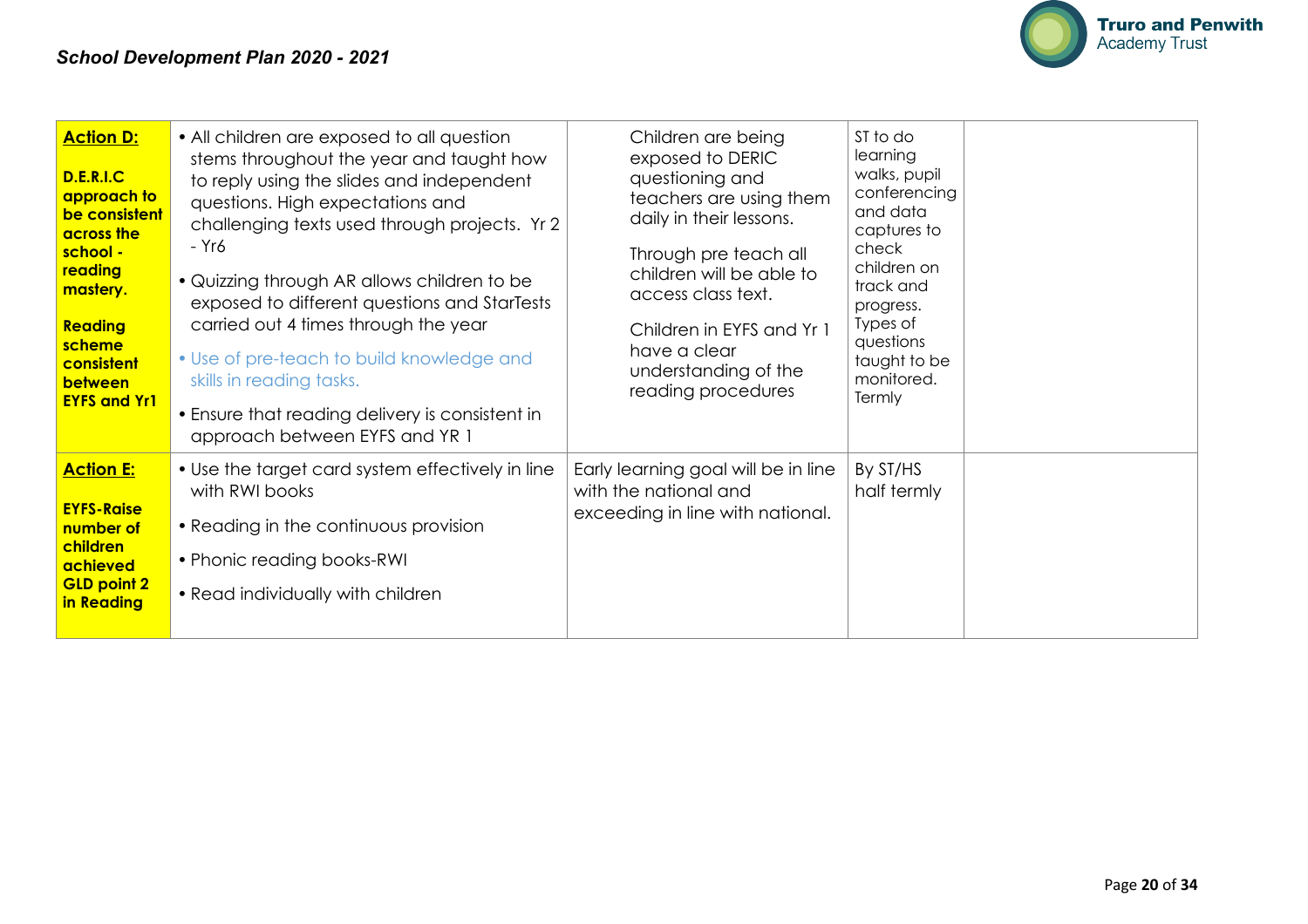

| <b>Action D:</b><br><b>D.E.R.I.C</b><br>approach to<br>be consistent<br>across the<br>school -<br>reading<br>mastery.<br>Reading<br>scheme<br>consistent<br>between<br><b>EYFS and Yr1</b> | • All children are exposed to all question<br>stems throughout the year and taught how<br>to reply using the slides and independent<br>questions. High expectations and<br>challenging texts used through projects. Yr 2<br>- Yr6<br>• Quizzing through AR allows children to be<br>exposed to different questions and StarTests<br>carried out 4 times through the year<br>• Use of pre-teach to build knowledge and<br>skills in reading tasks.<br>• Ensure that reading delivery is consistent in<br>approach between EYFS and YR 1 | Children are being<br>exposed to DERIC<br>questioning and<br>teachers are using them<br>daily in their lessons.<br>Through pre teach all<br>children will be able to<br>access class text.<br>Children in EYFS and Yr 1<br>have a clear<br>understanding of the<br>reading procedures | ST to do<br>learning<br>walks, pupil<br>conferencing<br>and data<br>captures to<br>check<br>children on<br>track and<br>progress.<br>Types of<br>questions<br>taught to be<br>monitored.<br>Termly |  |
|--------------------------------------------------------------------------------------------------------------------------------------------------------------------------------------------|----------------------------------------------------------------------------------------------------------------------------------------------------------------------------------------------------------------------------------------------------------------------------------------------------------------------------------------------------------------------------------------------------------------------------------------------------------------------------------------------------------------------------------------|---------------------------------------------------------------------------------------------------------------------------------------------------------------------------------------------------------------------------------------------------------------------------------------|----------------------------------------------------------------------------------------------------------------------------------------------------------------------------------------------------|--|
| <b>Action E:</b><br><b>EYFS-Raise</b><br>number of<br>children<br>achieved<br><b>GLD point 2</b><br>in Reading                                                                             | • Use the target card system effectively in line<br>with RWI books<br>• Reading in the continuous provision<br>• Phonic reading books-RWI<br>• Read individually with children                                                                                                                                                                                                                                                                                                                                                         | Early learning goal will be in line<br>with the national and<br>exceeding in line with national.                                                                                                                                                                                      | By ST/HS<br>half termly                                                                                                                                                                            |  |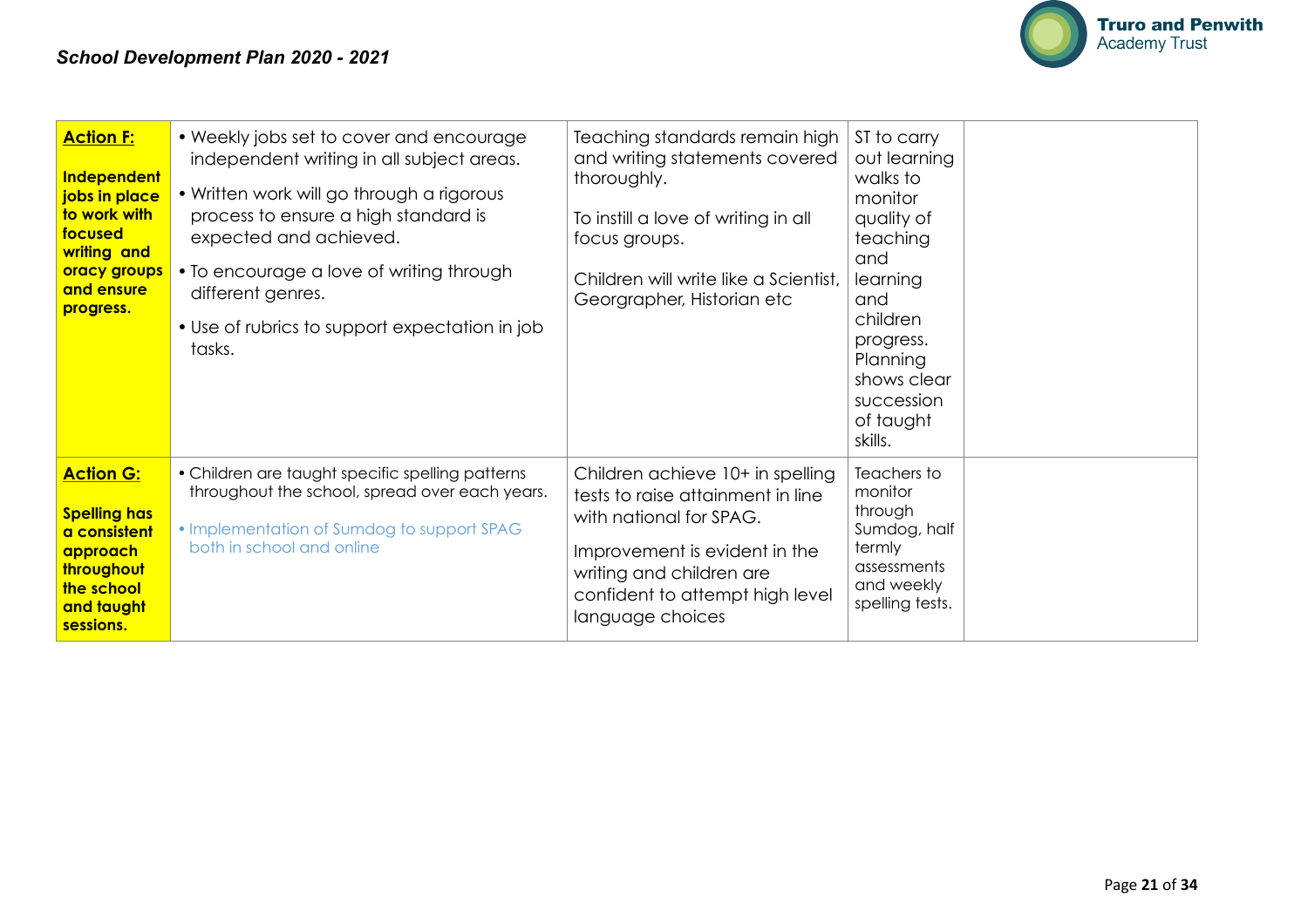

| <b>Action F:</b><br>Independent<br>jobs in place<br>to work with<br>focused<br>writing and<br>oracy groups<br>and ensure<br>progress. | • Weekly jobs set to cover and encourage<br>independent writing in all subject areas.<br>• Written work will go through a rigorous<br>process to ensure a high standard is<br>expected and achieved.<br>• To encourage a love of writing through<br>different genres.<br>• Use of rubrics to support expectation in job<br>tasks. | Teaching standards remain high<br>and writing statements covered<br>thoroughly.<br>To instill a love of writing in all<br>focus groups.<br>Children will write like a Scientist,<br>Georgrapher, Historian etc       | ST to carry<br>out learning<br>walks to<br>monitor<br>quality of<br>teaching<br>and<br>learning<br>and<br>children<br>progress.<br>Planning<br>shows clear<br>succession<br>of taught<br>skills. |
|---------------------------------------------------------------------------------------------------------------------------------------|-----------------------------------------------------------------------------------------------------------------------------------------------------------------------------------------------------------------------------------------------------------------------------------------------------------------------------------|----------------------------------------------------------------------------------------------------------------------------------------------------------------------------------------------------------------------|--------------------------------------------------------------------------------------------------------------------------------------------------------------------------------------------------|
| <b>Action G:</b><br><b>Spelling has</b><br>a consistent<br>approach<br>throughout<br>the school<br>and taught<br>sessions.            | • Children are taught specific spelling patterns<br>throughout the school, spread over each years.<br>• Implementation of Sumdog to support SPAG<br>both in school and online                                                                                                                                                     | Children achieve 10+ in spelling<br>tests to raise attainment in line<br>with national for SPAG.<br>Improvement is evident in the<br>writing and children are<br>confident to attempt high level<br>language choices | Teachers to<br>monitor<br>through<br>Sumdog, half<br>termly<br>assessments<br>and weekly<br>spelling tests.                                                                                      |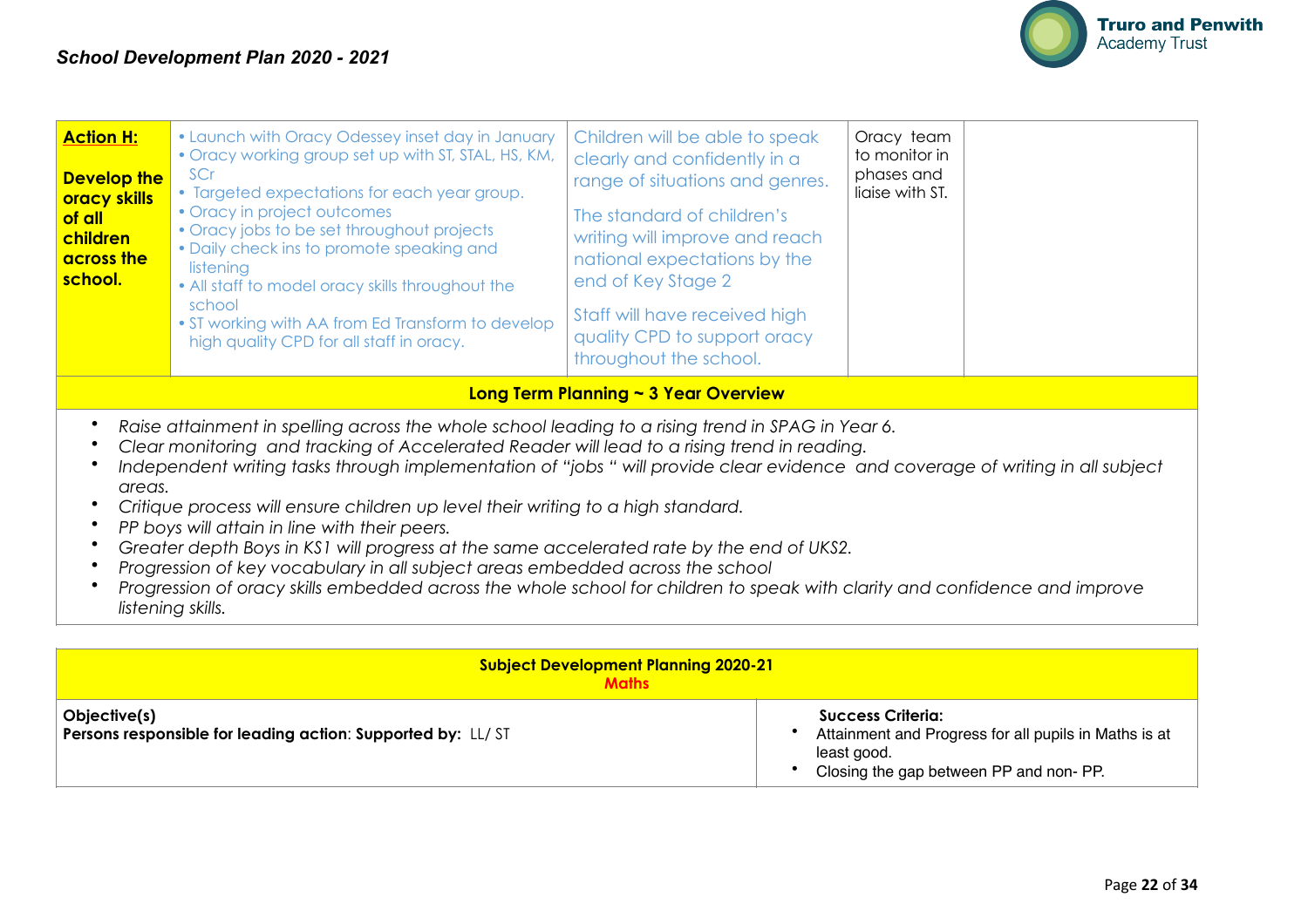

| <b>Action H:</b><br><b>Develop the</b><br><b>oracy skills</b><br>of all<br>children<br>across the<br>school.                                                                                                                                                                                                                                                                                                                                                                                                                                                                                                                                                                                                                                                                                                                       | • Launch with Oracy Odessey inset day in January<br>. Oracy working group set up with ST, STAL, HS, KM,<br>SCr<br>• Targeted expectations for each year group.<br>• Oracy in project outcomes<br>• Oracy jobs to be set throughout projects<br>• Daily check ins to promote speaking and<br>listening<br>• All staff to model oracy skills throughout the<br>school<br>• ST working with AA from Ed Transform to develop<br>high quality CPD for all staff in oracy. | Children will be able to speak<br>clearly and confidently in a<br>range of situations and genres.<br>The standard of children's<br>writing will improve and reach<br>national expectations by the<br>end of Key Stage 2<br>Staff will have received high<br>quality CPD to support oracy<br>throughout the school. | Oracy team<br>to monitor in<br>phases and<br>liaise with ST. |  |
|------------------------------------------------------------------------------------------------------------------------------------------------------------------------------------------------------------------------------------------------------------------------------------------------------------------------------------------------------------------------------------------------------------------------------------------------------------------------------------------------------------------------------------------------------------------------------------------------------------------------------------------------------------------------------------------------------------------------------------------------------------------------------------------------------------------------------------|----------------------------------------------------------------------------------------------------------------------------------------------------------------------------------------------------------------------------------------------------------------------------------------------------------------------------------------------------------------------------------------------------------------------------------------------------------------------|--------------------------------------------------------------------------------------------------------------------------------------------------------------------------------------------------------------------------------------------------------------------------------------------------------------------|--------------------------------------------------------------|--|
|                                                                                                                                                                                                                                                                                                                                                                                                                                                                                                                                                                                                                                                                                                                                                                                                                                    |                                                                                                                                                                                                                                                                                                                                                                                                                                                                      | Long Term Planning $\sim$ 3 Year Overview                                                                                                                                                                                                                                                                          |                                                              |  |
| Raise attainment in spelling across the whole school leading to a rising trend in SPAG in Year 6.<br>٠<br>Clear monitoring and tracking of Accelerated Reader will lead to a rising trend in reading.<br>Independent writing tasks through implementation of "jobs" will provide clear evidence and coverage of writing in all subject<br>areas.<br>Critique process will ensure children up level their writing to a high standard.<br>PP boys will attain in line with their peers.<br>$\bullet$<br>Greater depth Boys in KS1 will progress at the same accelerated rate by the end of UKS2.<br>Progression of key vocabulary in all subject areas embedded across the school<br>Progression of oracy skills embedded across the whole school for children to speak with clarity and confidence and improve<br>listening skills. |                                                                                                                                                                                                                                                                                                                                                                                                                                                                      |                                                                                                                                                                                                                                                                                                                    |                                                              |  |

| <b>Subject Development Planning 2020-21</b><br><b>Maths</b>                 |                                                                                                                                     |  |  |  |  |
|-----------------------------------------------------------------------------|-------------------------------------------------------------------------------------------------------------------------------------|--|--|--|--|
| Objective(s)<br>Persons responsible for leading action: Supported by: LL/ST | Success Criteria:<br>Attainment and Progress for all pupils in Maths is at<br>least good.<br>Closing the gap between PP and non-PP. |  |  |  |  |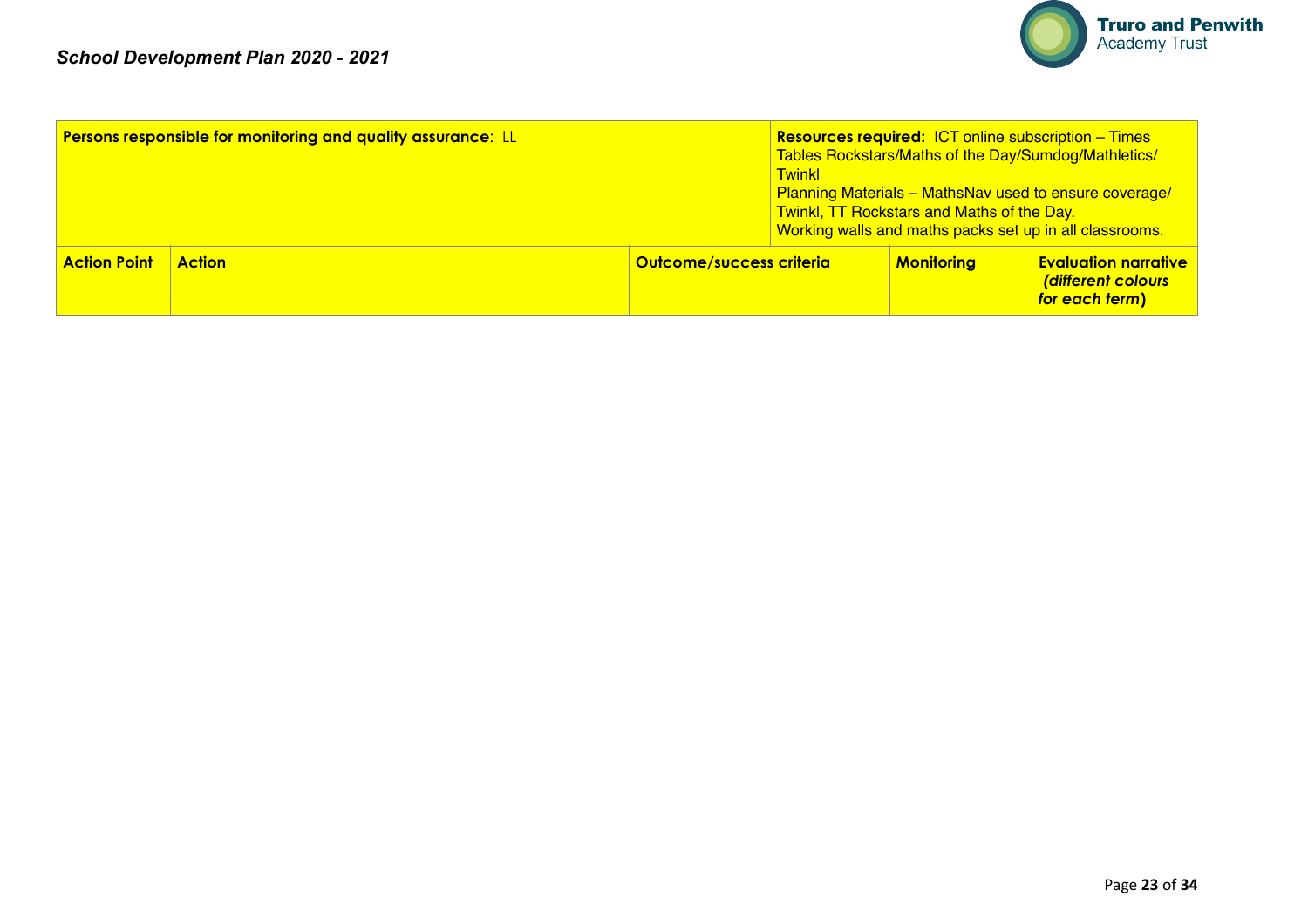

|                     | <b>Persons responsible for monitoring and quality assurance: LL</b> |                                 | <b>Twinkl</b> | <b>Twinkl, TT Rockstars and Maths of the Day.</b> | <b>Resources required: ICT online subscription – Times</b><br>Tables Rockstars/Maths of the Day/Sumdog/Mathletics/<br><b>Planning Materials - MathsNav used to ensure coverage/</b><br>Working walls and maths packs set up in all classrooms. |
|---------------------|---------------------------------------------------------------------|---------------------------------|---------------|---------------------------------------------------|------------------------------------------------------------------------------------------------------------------------------------------------------------------------------------------------------------------------------------------------|
| <b>Action Point</b> | <b>Action</b>                                                       | <b>Outcome/success criteria</b> |               | <b>Monitoring</b>                                 | <b>Evaluation narrative</b><br>(different colours<br>for each term)                                                                                                                                                                            |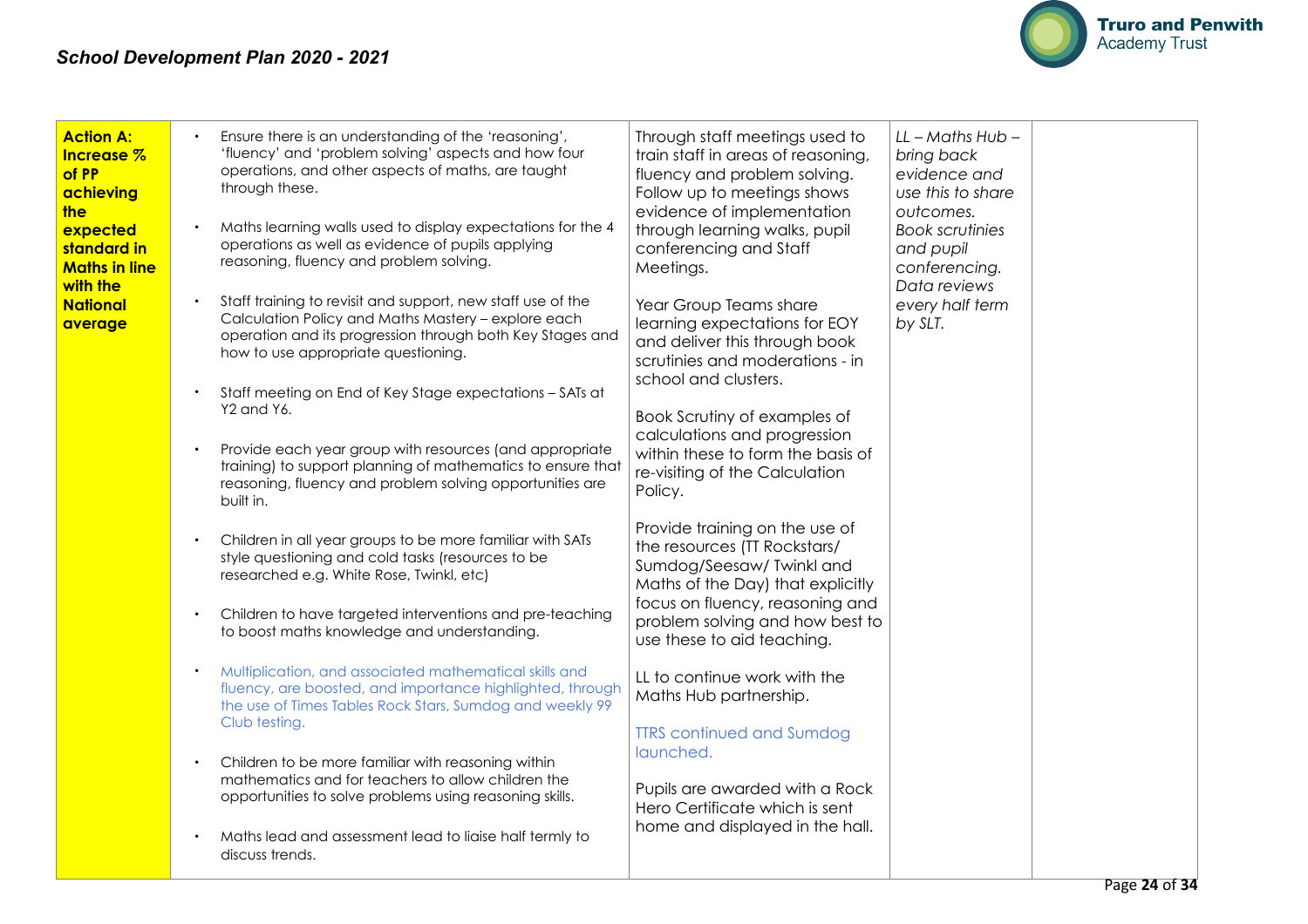

| <b>Action A:</b><br><b>Increase</b> %<br>of PP<br>achieving<br>the<br>expected<br><mark>standard in</mark><br><b>Maths in line</b><br>with the<br><b>National</b><br>average | Ensure there is an understanding of the 'reasoning',<br>'fluency' and 'problem solving' aspects and how four<br>operations, and other aspects of maths, are taught<br>through these.<br>Maths learning walls used to display expectations for the 4<br>operations as well as evidence of pupils applying<br>reasoning, fluency and problem solving.<br>Staff training to revisit and support, new staff use of the<br>Calculation Policy and Maths Mastery - explore each<br>operation and its progression through both Key Stages and<br>how to use appropriate questioning.<br>Staff meeting on End of Key Stage expectations - SATs at<br>Y2 and Y6.<br>Provide each year group with resources (and appropriate<br>training) to support planning of mathematics to ensure that<br>reasoning, fluency and problem solving opportunities are<br>built in.<br>Children in all year groups to be more familiar with SATs<br>style questioning and cold tasks (resources to be<br>researched e.g. White Rose, Twinkl, etc)<br>Children to have targeted interventions and pre-teaching<br>to boost maths knowledge and understanding.<br>Multiplication, and associated mathematical skills and<br>fluency, are boosted, and importance highlighted, through<br>the use of Times Tables Rock Stars, Sumdog and weekly 99<br>Club testing. | Through staff meetings used to<br>train staff in areas of reasoning,<br>fluency and problem solving.<br>Follow up to meetings shows<br>evidence of implementation<br>through learning walks, pupil<br>conferencing and Staff<br>Meetings.<br>Year Group Teams share<br>learning expectations for EOY<br>and deliver this through book<br>scrutinies and moderations - in<br>school and clusters.<br>Book Scrutiny of examples of<br>calculations and progression<br>within these to form the basis of<br>re-visiting of the Calculation<br>Policy.<br>Provide training on the use of<br>the resources (TT Rockstars/<br>Sumdog/Seesaw/ Twinkl and<br>Maths of the Day) that explicitly<br>focus on fluency, reasoning and<br>problem solving and how best to<br>use these to aid teaching.<br>LL to continue work with the<br>Maths Hub partnership. | $LL$ - Maths Hub -<br>bring back<br>evidence and<br>use this to share<br>outcomes.<br><b>Book scrutinies</b><br>and pupil<br>conferencing.<br>Data reviews<br>every half term<br>by SLT. |
|------------------------------------------------------------------------------------------------------------------------------------------------------------------------------|-----------------------------------------------------------------------------------------------------------------------------------------------------------------------------------------------------------------------------------------------------------------------------------------------------------------------------------------------------------------------------------------------------------------------------------------------------------------------------------------------------------------------------------------------------------------------------------------------------------------------------------------------------------------------------------------------------------------------------------------------------------------------------------------------------------------------------------------------------------------------------------------------------------------------------------------------------------------------------------------------------------------------------------------------------------------------------------------------------------------------------------------------------------------------------------------------------------------------------------------------------------------------------------------------------------------------------------------|------------------------------------------------------------------------------------------------------------------------------------------------------------------------------------------------------------------------------------------------------------------------------------------------------------------------------------------------------------------------------------------------------------------------------------------------------------------------------------------------------------------------------------------------------------------------------------------------------------------------------------------------------------------------------------------------------------------------------------------------------------------------------------------------------------------------------------------------------|------------------------------------------------------------------------------------------------------------------------------------------------------------------------------------------|
|                                                                                                                                                                              |                                                                                                                                                                                                                                                                                                                                                                                                                                                                                                                                                                                                                                                                                                                                                                                                                                                                                                                                                                                                                                                                                                                                                                                                                                                                                                                                         | <b>TTRS</b> continued and Sumdog<br>launched.                                                                                                                                                                                                                                                                                                                                                                                                                                                                                                                                                                                                                                                                                                                                                                                                        |                                                                                                                                                                                          |
|                                                                                                                                                                              | Children to be more familiar with reasoning within<br>mathematics and for teachers to allow children the<br>opportunities to solve problems using reasoning skills.<br>Maths lead and assessment lead to liaise half termly to<br>discuss trends.                                                                                                                                                                                                                                                                                                                                                                                                                                                                                                                                                                                                                                                                                                                                                                                                                                                                                                                                                                                                                                                                                       | Pupils are awarded with a Rock<br>Hero Certificate which is sent<br>home and displayed in the hall.                                                                                                                                                                                                                                                                                                                                                                                                                                                                                                                                                                                                                                                                                                                                                  |                                                                                                                                                                                          |
|                                                                                                                                                                              |                                                                                                                                                                                                                                                                                                                                                                                                                                                                                                                                                                                                                                                                                                                                                                                                                                                                                                                                                                                                                                                                                                                                                                                                                                                                                                                                         |                                                                                                                                                                                                                                                                                                                                                                                                                                                                                                                                                                                                                                                                                                                                                                                                                                                      | $D_{200}$ 24 of 24                                                                                                                                                                       |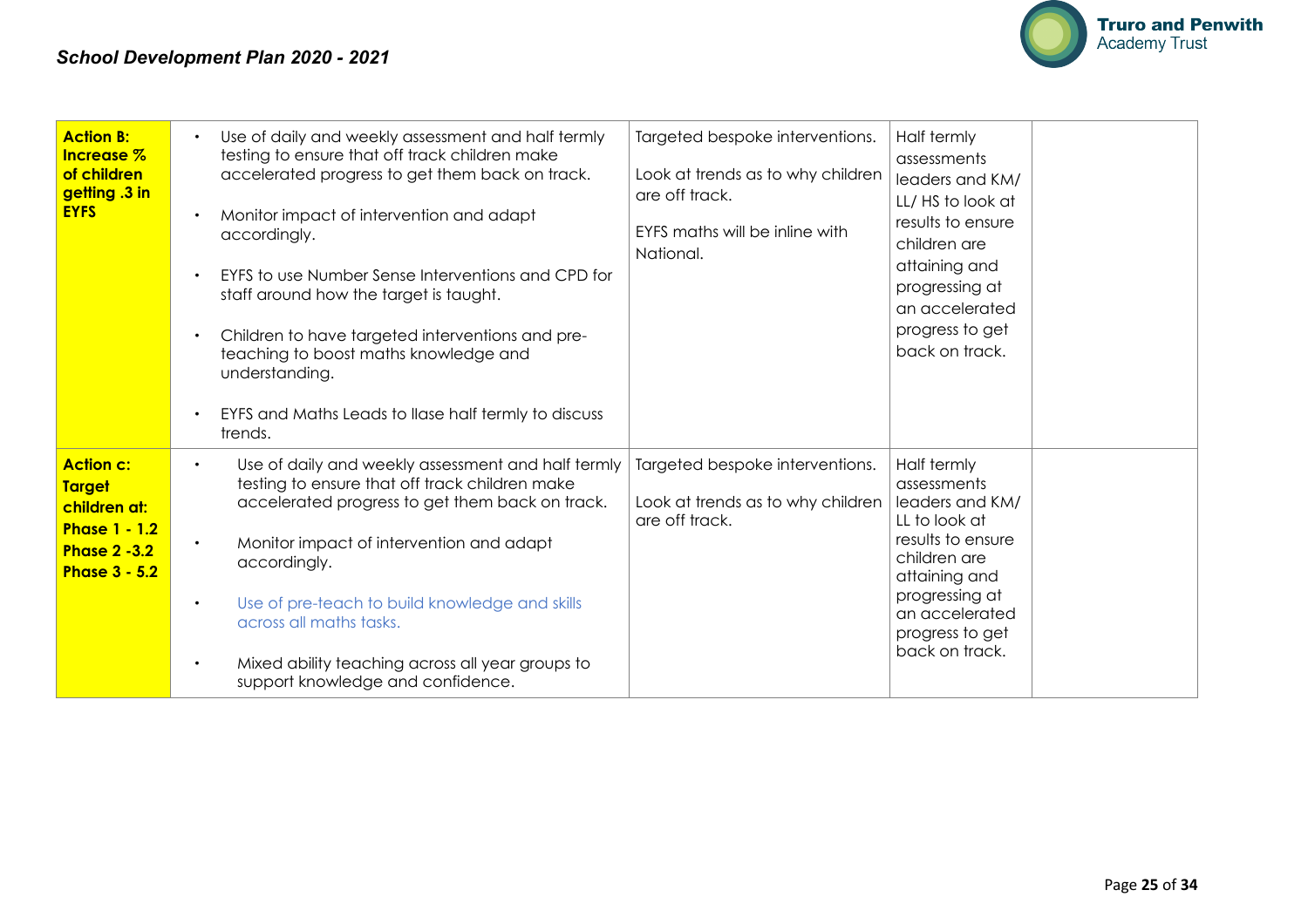

| <b>Action B:</b><br>Increase %<br>of children<br>getting .3 in<br><b>EYFS</b>                                            | Use of daily and weekly assessment and half termly<br>$\bullet$<br>testing to ensure that off track children make<br>accelerated progress to get them back on track.<br>Monitor impact of intervention and adapt<br>accordingly.<br>EYFS to use Number Sense Interventions and CPD for<br>staff around how the target is taught.<br>Children to have targeted interventions and pre-<br>teaching to boost maths knowledge and<br>understanding.<br>EYFS and Maths Leads to Ilase half termly to discuss<br>trends. | Targeted bespoke interventions.<br>Look at trends as to why children<br>are off track.<br>EYFS maths will be inline with<br>National. | Half termly<br>assessments<br>leaders and KM/<br>LL/HS to look at<br>results to ensure<br>children are<br>attaining and<br>progressing at<br>an accelerated<br>progress to get<br>back on track. |
|--------------------------------------------------------------------------------------------------------------------------|--------------------------------------------------------------------------------------------------------------------------------------------------------------------------------------------------------------------------------------------------------------------------------------------------------------------------------------------------------------------------------------------------------------------------------------------------------------------------------------------------------------------|---------------------------------------------------------------------------------------------------------------------------------------|--------------------------------------------------------------------------------------------------------------------------------------------------------------------------------------------------|
| <b>Action c:</b><br><b>Target</b><br>children at:<br><b>Phase 1 - 1.2</b><br><b>Phase 2 -3.2</b><br><b>Phase 3 - 5.2</b> | Use of daily and weekly assessment and half termly<br>$\bullet$<br>testing to ensure that off track children make<br>accelerated progress to get them back on track.<br>Monitor impact of intervention and adapt<br>accordingly.<br>Use of pre-teach to build knowledge and skills<br>$\bullet$<br>across all maths tasks.<br>Mixed ability teaching across all year groups to<br>$\bullet$<br>support knowledge and confidence.                                                                                   | Targeted bespoke interventions.<br>Look at trends as to why children<br>are off track.                                                | Half termly<br>assessments<br>leaders and KM/<br>LL to look at<br>results to ensure<br>children are<br>attaining and<br>progressing at<br>an accelerated<br>progress to get<br>back on track.    |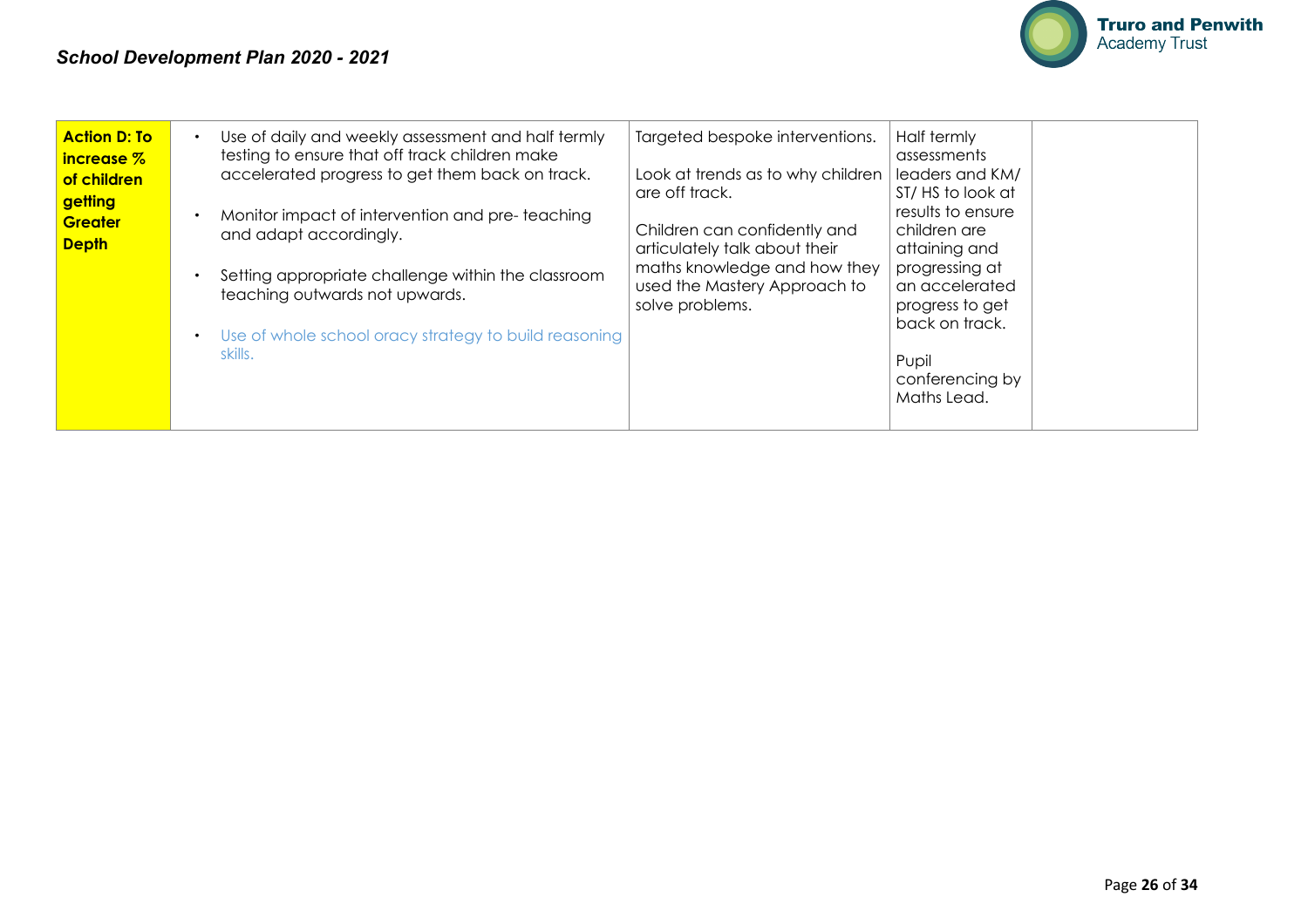

| <b>Action D: To</b><br>increase %<br>of children<br>getting<br><b>Greater</b><br><b>Depth</b> | Use of daily and weekly assessment and half termly<br>testing to ensure that off track children make<br>accelerated progress to get them back on track.<br>Monitor impact of intervention and pre-teaching<br>and adapt accordingly.<br>Setting appropriate challenge within the classroom<br>teaching outwards not upwards.<br>Use of whole school oracy strategy to build reasoning | Targeted bespoke interventions.<br>Look at trends as to why children<br>are off track.<br>Children can confidently and<br>articulately talk about their<br>maths knowledge and how they<br>used the Mastery Approach to<br>solve problems. | Half termly<br>assessments<br>leaders and KM/<br>ST/HS to look at<br>results to ensure<br>children are<br>attaining and<br>progressing at<br>an accelerated<br>progress to get<br>back on track. |
|-----------------------------------------------------------------------------------------------|---------------------------------------------------------------------------------------------------------------------------------------------------------------------------------------------------------------------------------------------------------------------------------------------------------------------------------------------------------------------------------------|--------------------------------------------------------------------------------------------------------------------------------------------------------------------------------------------------------------------------------------------|--------------------------------------------------------------------------------------------------------------------------------------------------------------------------------------------------|
|                                                                                               | skills.                                                                                                                                                                                                                                                                                                                                                                               |                                                                                                                                                                                                                                            | Pupil<br>conferencing by<br>Maths Lead.                                                                                                                                                          |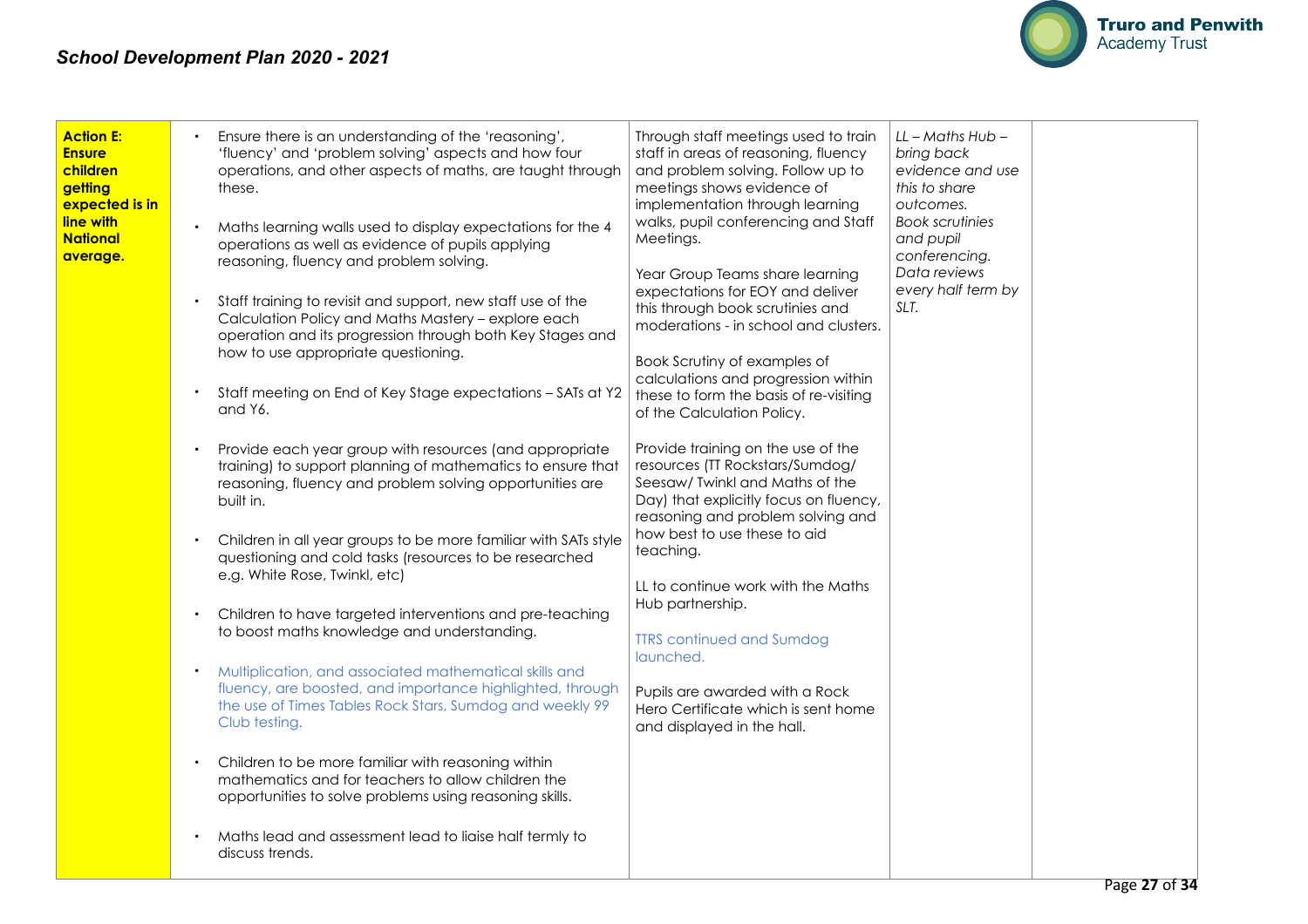

| <b>Action E:</b><br><b>Ensure</b><br>children<br>getting<br>expected is in<br>line with<br><b>National</b><br>average. | Ensure there is an understanding of the 'reasoning',<br>'fluency' and 'problem solving' aspects and how four<br>operations, and other aspects of maths, are taught through<br>these.<br>Maths learning walls used to display expectations for the 4<br>operations as well as evidence of pupils applying<br>reasoning, fluency and problem solving.<br>Staff training to revisit and support, new staff use of the<br>Calculation Policy and Maths Mastery - explore each<br>operation and its progression through both Key Stages and<br>how to use appropriate questioning.<br>Staff meeting on End of Key Stage expectations - SATs at Y2<br>and Y6.<br>Provide each year group with resources (and appropriate<br>training) to support planning of mathematics to ensure that<br>reasoning, fluency and problem solving opportunities are<br>built in.<br>Children in all year groups to be more familiar with SATs style<br>questioning and cold tasks (resources to be researched<br>e.g. White Rose, Twinkl, etc)<br>Children to have targeted interventions and pre-teaching<br>to boost maths knowledge and understanding.<br>Multiplication, and associated mathematical skills and<br>fluency, are boosted, and importance highlighted, through<br>the use of Times Tables Rock Stars, Sumdog and weekly 99<br>Club testing.<br>Children to be more familiar with reasoning within<br>mathematics and for teachers to allow children the<br>opportunities to solve problems using reasoning skills.<br>Maths lead and assessment lead to liaise half termly to<br>discuss trends. | Through staff meetings used to train<br>staff in areas of reasoning, fluency<br>and problem solving. Follow up to<br>meetings shows evidence of<br>implementation through learning<br>walks, pupil conferencing and Staff<br>Meetings.<br>Year Group Teams share learning<br>expectations for EOY and deliver<br>this through book scrutinies and<br>moderations - in school and clusters.<br>Book Scrutiny of examples of<br>calculations and progression within<br>these to form the basis of re-visiting<br>of the Calculation Policy.<br>Provide training on the use of the<br>resources (TT Rockstars/Sumdog/<br>Seesaw/ Twinkl and Maths of the<br>Day) that explicitly focus on fluency,<br>reasoning and problem solving and<br>how best to use these to aid<br>teaching.<br>LL to continue work with the Maths<br>Hub partnership.<br><b>TTRS</b> continued and Sumdog<br>launched.<br>Pupils are awarded with a Rock<br>Hero Certificate which is sent home<br>and displayed in the hall. | $LL$ – Maths Hub –<br>bring back<br>evidence and use<br>this to share<br>outcomes.<br><b>Book scrutinies</b><br>and pupil<br>conferencing.<br>Data reviews<br>every half term by<br>SLT. |  |
|------------------------------------------------------------------------------------------------------------------------|----------------------------------------------------------------------------------------------------------------------------------------------------------------------------------------------------------------------------------------------------------------------------------------------------------------------------------------------------------------------------------------------------------------------------------------------------------------------------------------------------------------------------------------------------------------------------------------------------------------------------------------------------------------------------------------------------------------------------------------------------------------------------------------------------------------------------------------------------------------------------------------------------------------------------------------------------------------------------------------------------------------------------------------------------------------------------------------------------------------------------------------------------------------------------------------------------------------------------------------------------------------------------------------------------------------------------------------------------------------------------------------------------------------------------------------------------------------------------------------------------------------------------------------------------------------------------------------------|-----------------------------------------------------------------------------------------------------------------------------------------------------------------------------------------------------------------------------------------------------------------------------------------------------------------------------------------------------------------------------------------------------------------------------------------------------------------------------------------------------------------------------------------------------------------------------------------------------------------------------------------------------------------------------------------------------------------------------------------------------------------------------------------------------------------------------------------------------------------------------------------------------------------------------------------------------------------------------------------------------|------------------------------------------------------------------------------------------------------------------------------------------------------------------------------------------|--|
|------------------------------------------------------------------------------------------------------------------------|----------------------------------------------------------------------------------------------------------------------------------------------------------------------------------------------------------------------------------------------------------------------------------------------------------------------------------------------------------------------------------------------------------------------------------------------------------------------------------------------------------------------------------------------------------------------------------------------------------------------------------------------------------------------------------------------------------------------------------------------------------------------------------------------------------------------------------------------------------------------------------------------------------------------------------------------------------------------------------------------------------------------------------------------------------------------------------------------------------------------------------------------------------------------------------------------------------------------------------------------------------------------------------------------------------------------------------------------------------------------------------------------------------------------------------------------------------------------------------------------------------------------------------------------------------------------------------------------|-----------------------------------------------------------------------------------------------------------------------------------------------------------------------------------------------------------------------------------------------------------------------------------------------------------------------------------------------------------------------------------------------------------------------------------------------------------------------------------------------------------------------------------------------------------------------------------------------------------------------------------------------------------------------------------------------------------------------------------------------------------------------------------------------------------------------------------------------------------------------------------------------------------------------------------------------------------------------------------------------------|------------------------------------------------------------------------------------------------------------------------------------------------------------------------------------------|--|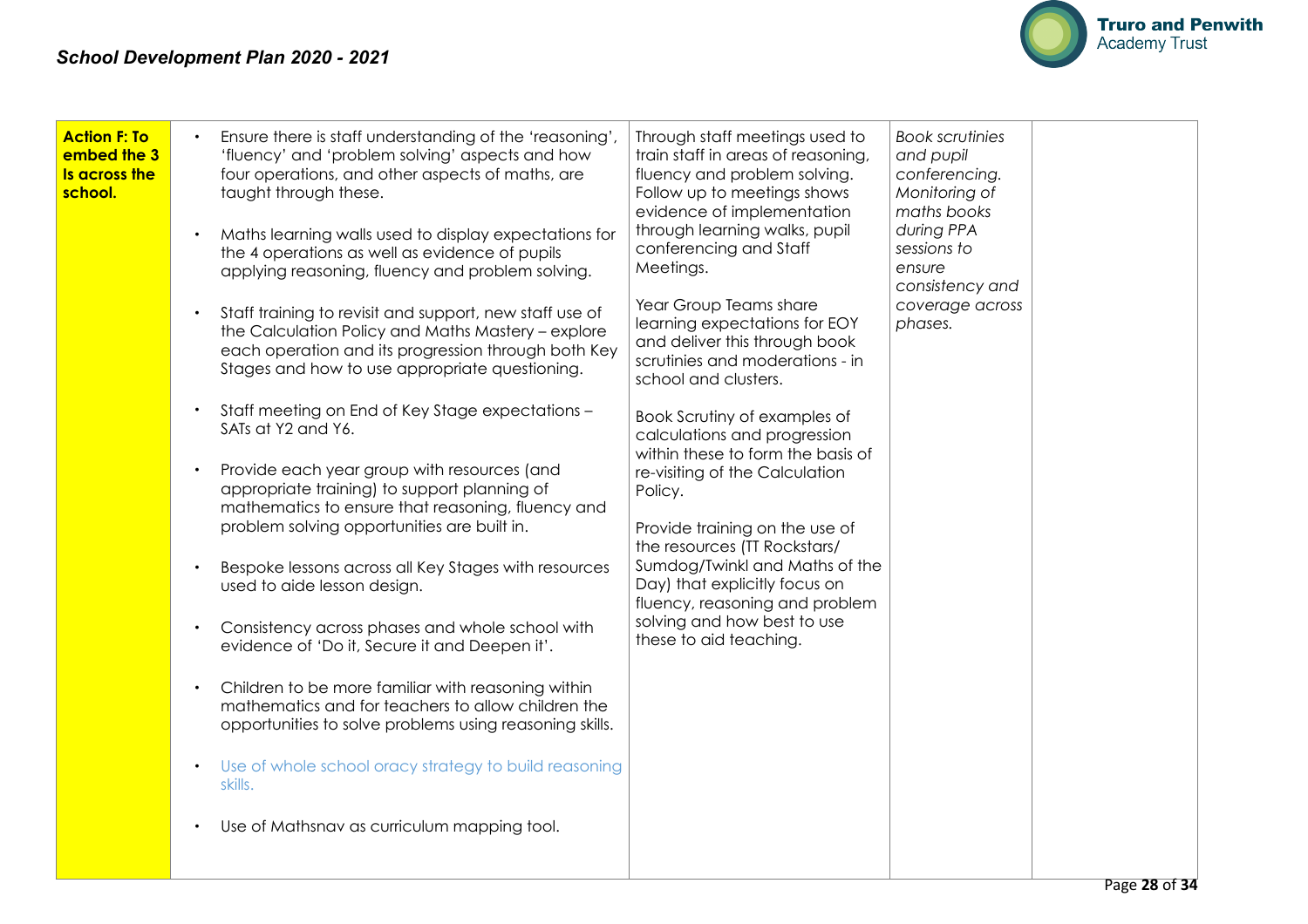

| <b>Action F: To</b><br>embed the 3<br>Is across the<br>school. | Ensure there is staff understanding of the 'reasoning',<br>'fluency' and 'problem solving' aspects and how<br>four operations, and other aspects of maths, are<br>taught through these.<br>Maths learning walls used to display expectations for<br>the 4 operations as well as evidence of pupils<br>applying reasoning, fluency and problem solving.<br>Staff training to revisit and support, new staff use of<br>the Calculation Policy and Maths Mastery - explore<br>each operation and its progression through both Key<br>Stages and how to use appropriate questioning.<br>Staff meeting on End of Key Stage expectations -<br>$\bullet$<br>SATs at Y2 and Y6.<br>Provide each year group with resources (and<br>appropriate training) to support planning of<br>mathematics to ensure that reasoning, fluency and<br>problem solving opportunities are built in.<br>Bespoke lessons across all Key Stages with resources<br>used to aide lesson design.<br>Consistency across phases and whole school with<br>evidence of 'Do it, Secure it and Deepen it'.<br>Children to be more familiar with reasoning within<br>$\bullet$<br>mathematics and for teachers to allow children the<br>opportunities to solve problems using reasoning skills.<br>Use of whole school oracy strategy to build reasoning<br>$\bullet$<br>skills.<br>Use of Mathsnav as curriculum mapping tool.<br>$\bullet$ | Through staff meetings used to<br>train staff in areas of reasoning,<br>fluency and problem solving.<br>Follow up to meetings shows<br>evidence of implementation<br>through learning walks, pupil<br>conferencing and Staff<br>Meetings.<br>Year Group Teams share<br>learning expectations for EOY<br>and deliver this through book<br>scrutinies and moderations - in<br>school and clusters.<br>Book Scrutiny of examples of<br>calculations and progression<br>within these to form the basis of<br>re-visiting of the Calculation<br>Policy.<br>Provide training on the use of<br>the resources (TT Rockstars/<br>Sumdog/Twinkl and Maths of the<br>Day) that explicitly focus on<br>fluency, reasoning and problem<br>solving and how best to use<br>these to aid teaching. | <b>Book scrutinies</b><br>and pupil<br>conferencing.<br>Monitoring of<br>maths books<br>during PPA<br>sessions to<br>ensure<br>consistency and<br>coverage across<br>phases. |  |
|----------------------------------------------------------------|--------------------------------------------------------------------------------------------------------------------------------------------------------------------------------------------------------------------------------------------------------------------------------------------------------------------------------------------------------------------------------------------------------------------------------------------------------------------------------------------------------------------------------------------------------------------------------------------------------------------------------------------------------------------------------------------------------------------------------------------------------------------------------------------------------------------------------------------------------------------------------------------------------------------------------------------------------------------------------------------------------------------------------------------------------------------------------------------------------------------------------------------------------------------------------------------------------------------------------------------------------------------------------------------------------------------------------------------------------------------------------------------------------|------------------------------------------------------------------------------------------------------------------------------------------------------------------------------------------------------------------------------------------------------------------------------------------------------------------------------------------------------------------------------------------------------------------------------------------------------------------------------------------------------------------------------------------------------------------------------------------------------------------------------------------------------------------------------------------------------------------------------------------------------------------------------------|------------------------------------------------------------------------------------------------------------------------------------------------------------------------------|--|
|                                                                |                                                                                                                                                                                                                                                                                                                                                                                                                                                                                                                                                                                                                                                                                                                                                                                                                                                                                                                                                                                                                                                                                                                                                                                                                                                                                                                                                                                                        |                                                                                                                                                                                                                                                                                                                                                                                                                                                                                                                                                                                                                                                                                                                                                                                    |                                                                                                                                                                              |  |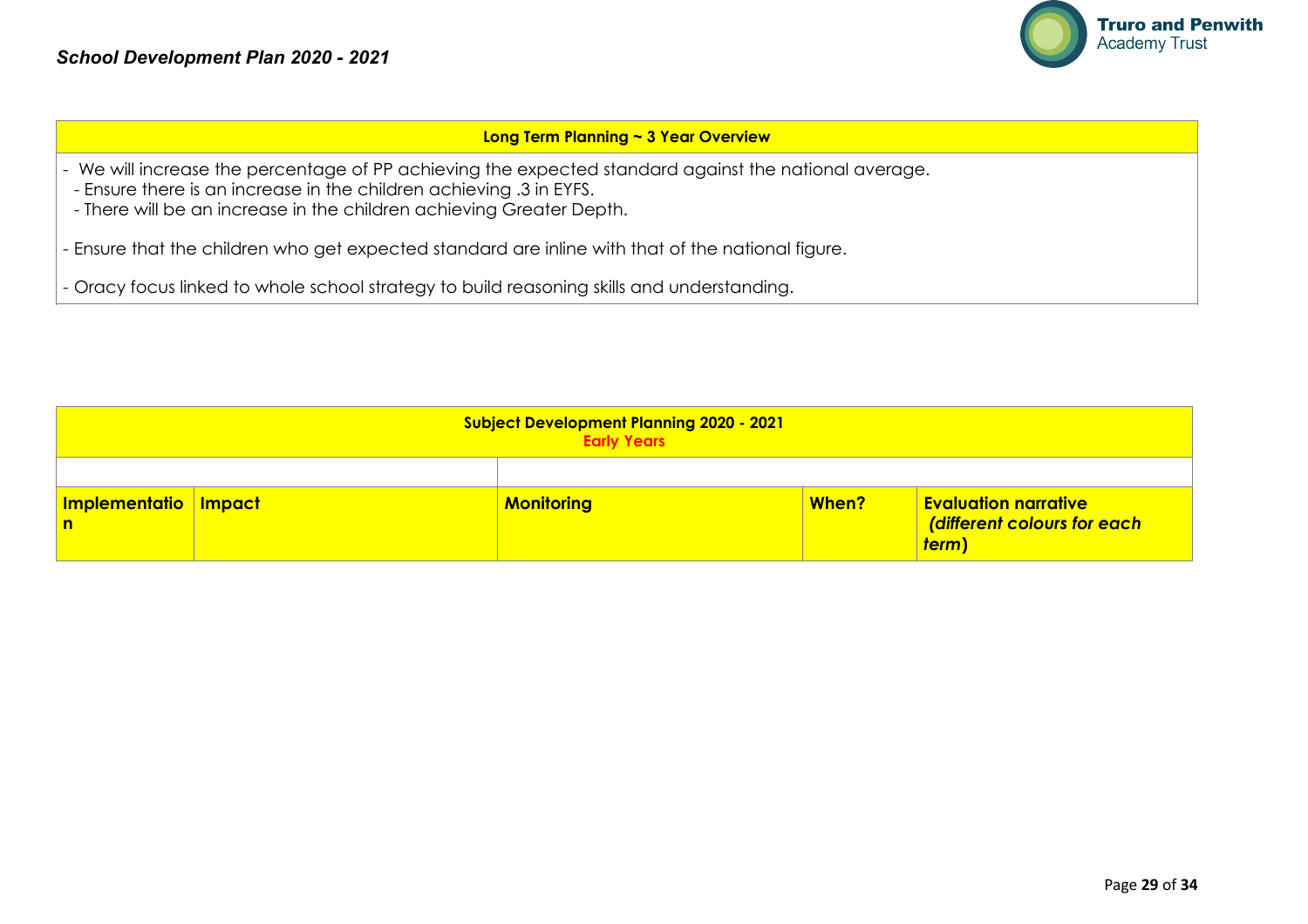

#### **Long Term Planning ~ 3 Year Overview**

- We will increase the percentage of PP achieving the expected standard against the national average.
- Ensure there is an increase in the children achieving .3 in EYFS.
- There will be an increase in the children achieving Greater Depth.
- Ensure that the children who get expected standard are inline with that of the national figure.
- Oracy focus linked to whole school strategy to build reasoning skills and understanding.

| <b>Subject Development Planning 2020 - 2021</b><br><b>Early Years</b> |  |                   |       |                                                                     |  |
|-----------------------------------------------------------------------|--|-------------------|-------|---------------------------------------------------------------------|--|
|                                                                       |  |                   |       |                                                                     |  |
| Implementatio Impact<br>$\mathsf{n}$                                  |  | <b>Monitoring</b> | When? | <b>Evaluation narrative</b><br>(different colours for each<br>term) |  |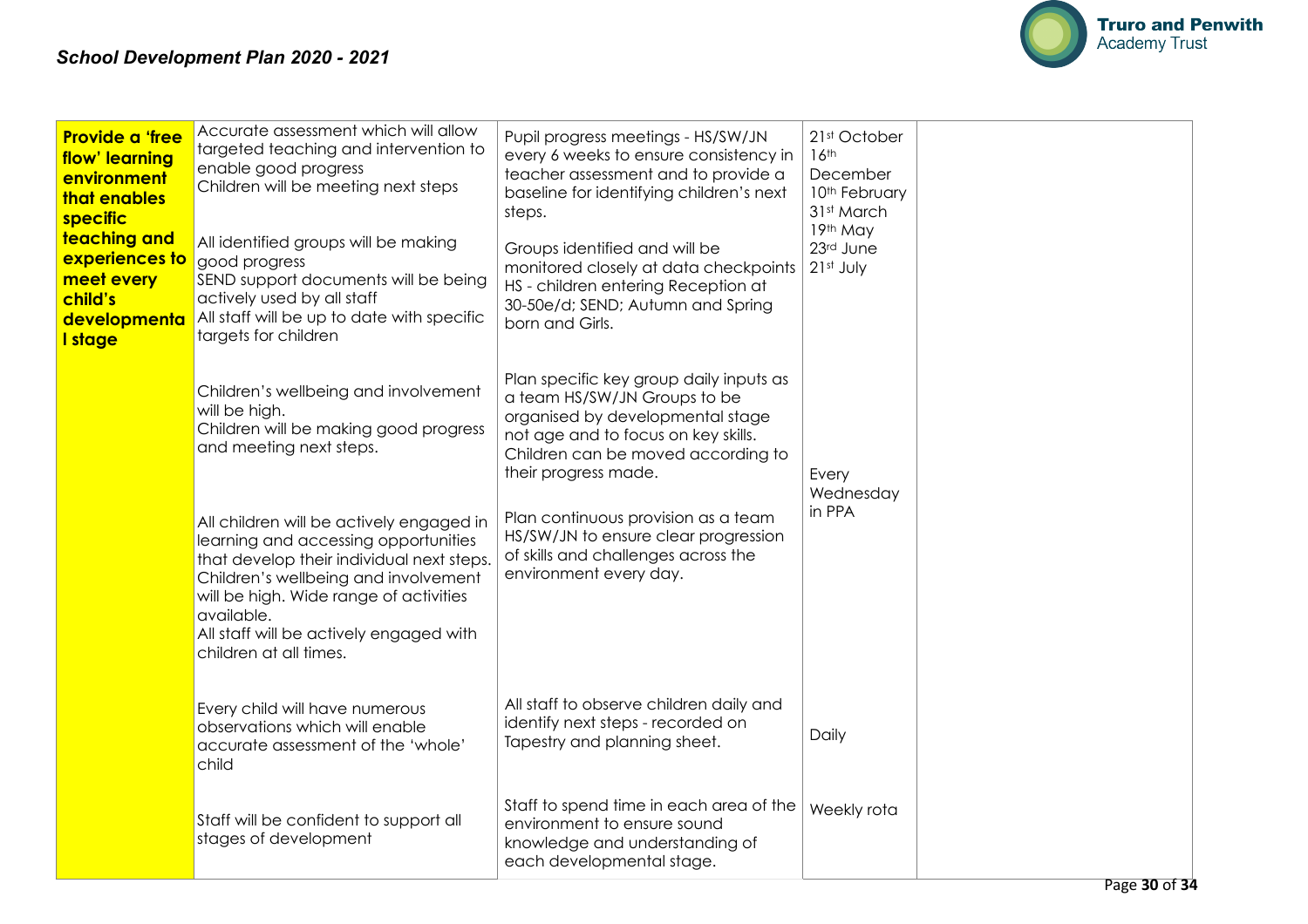

| <b>Provide a 'free</b><br>flow' learning<br>environment<br>that enables<br>specific<br>teaching and<br>experiences to<br>meet every<br>child's<br>developmenta<br>I stage | Accurate assessment which will allow<br>targeted teaching and intervention to<br>enable good progress<br>Children will be meeting next steps<br>All identified groups will be making<br>good progress<br>SEND support documents will be being<br>actively used by all staff<br>All staff will be up to date with specific<br>targets for children                                                                               | Pupil progress meetings - HS/SW/JN<br>every 6 weeks to ensure consistency in<br>teacher assessment and to provide a<br>baseline for identifying children's next<br>steps.<br>Groups identified and will be<br>monitored closely at data checkpoints<br>HS - children entering Reception at<br>30-50e/d; SEND; Autumn and Spring<br>born and Girls.               | 21st October<br>16th<br>December<br>10th February<br>31st March<br>19th May<br>23rd June<br>21st July |  |
|---------------------------------------------------------------------------------------------------------------------------------------------------------------------------|---------------------------------------------------------------------------------------------------------------------------------------------------------------------------------------------------------------------------------------------------------------------------------------------------------------------------------------------------------------------------------------------------------------------------------|------------------------------------------------------------------------------------------------------------------------------------------------------------------------------------------------------------------------------------------------------------------------------------------------------------------------------------------------------------------|-------------------------------------------------------------------------------------------------------|--|
|                                                                                                                                                                           | Children's wellbeing and involvement<br>will be high.<br>Children will be making good progress<br>and meeting next steps.<br>All children will be actively engaged in<br>learning and accessing opportunities<br>that develop their individual next steps.<br>Children's wellbeing and involvement<br>will be high. Wide range of activities<br>available.<br>All staff will be actively engaged with<br>children at all times. | Plan specific key group daily inputs as<br>a team HS/SW/JN Groups to be<br>organised by developmental stage<br>not age and to focus on key skills.<br>Children can be moved according to<br>their progress made.<br>Plan continuous provision as a team<br>HS/SW/JN to ensure clear progression<br>of skills and challenges across the<br>environment every day. | Every<br>Wednesday<br>in PPA                                                                          |  |
|                                                                                                                                                                           | Every child will have numerous<br>observations which will enable<br>accurate assessment of the 'whole'<br>child                                                                                                                                                                                                                                                                                                                 | All staff to observe children daily and<br>identify next steps - recorded on<br>Tapestry and planning sheet.                                                                                                                                                                                                                                                     | Daily                                                                                                 |  |
|                                                                                                                                                                           | Staff will be confident to support all<br>stages of development                                                                                                                                                                                                                                                                                                                                                                 | Staff to spend time in each area of the<br>environment to ensure sound<br>knowledge and understanding of<br>each developmental stage.                                                                                                                                                                                                                            | Weekly rota                                                                                           |  |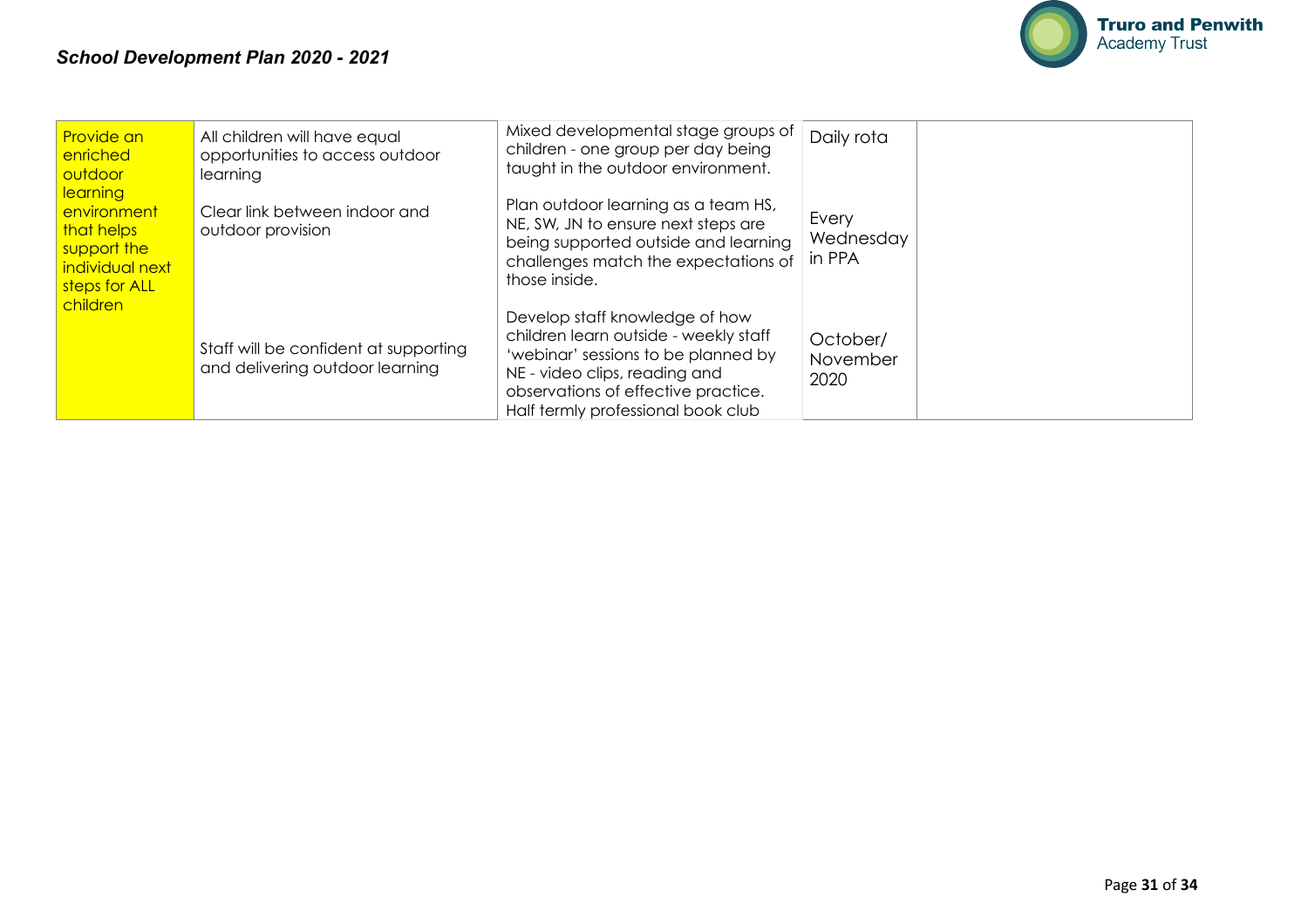

| Provide an<br>enriched<br>outdoor                                                               | All children will have equal<br>opportunities to access outdoor<br>learning | Mixed developmental stage groups of<br>children - one group per day being<br>taught in the outdoor environment.                                                                                                              | Daily rota                   |  |
|-------------------------------------------------------------------------------------------------|-----------------------------------------------------------------------------|------------------------------------------------------------------------------------------------------------------------------------------------------------------------------------------------------------------------------|------------------------------|--|
| <b>learning</b><br>environment<br>that helps<br>support the<br>individual next<br>steps for ALL | Clear link between indoor and<br>outdoor provision                          | Plan outdoor learning as a team HS,<br>NE, SW, JN to ensure next steps are<br>being supported outside and learning<br>challenges match the expectations of<br>those inside.                                                  | Every<br>Wednesday<br>in PPA |  |
| children                                                                                        | Staff will be confident at supporting<br>and delivering outdoor learning    | Develop staff knowledge of how<br>children learn outside - weekly staff<br>'webinar' sessions to be planned by<br>NE - video clips, reading and<br>observations of effective practice.<br>Half termly professional book club | October/<br>November<br>2020 |  |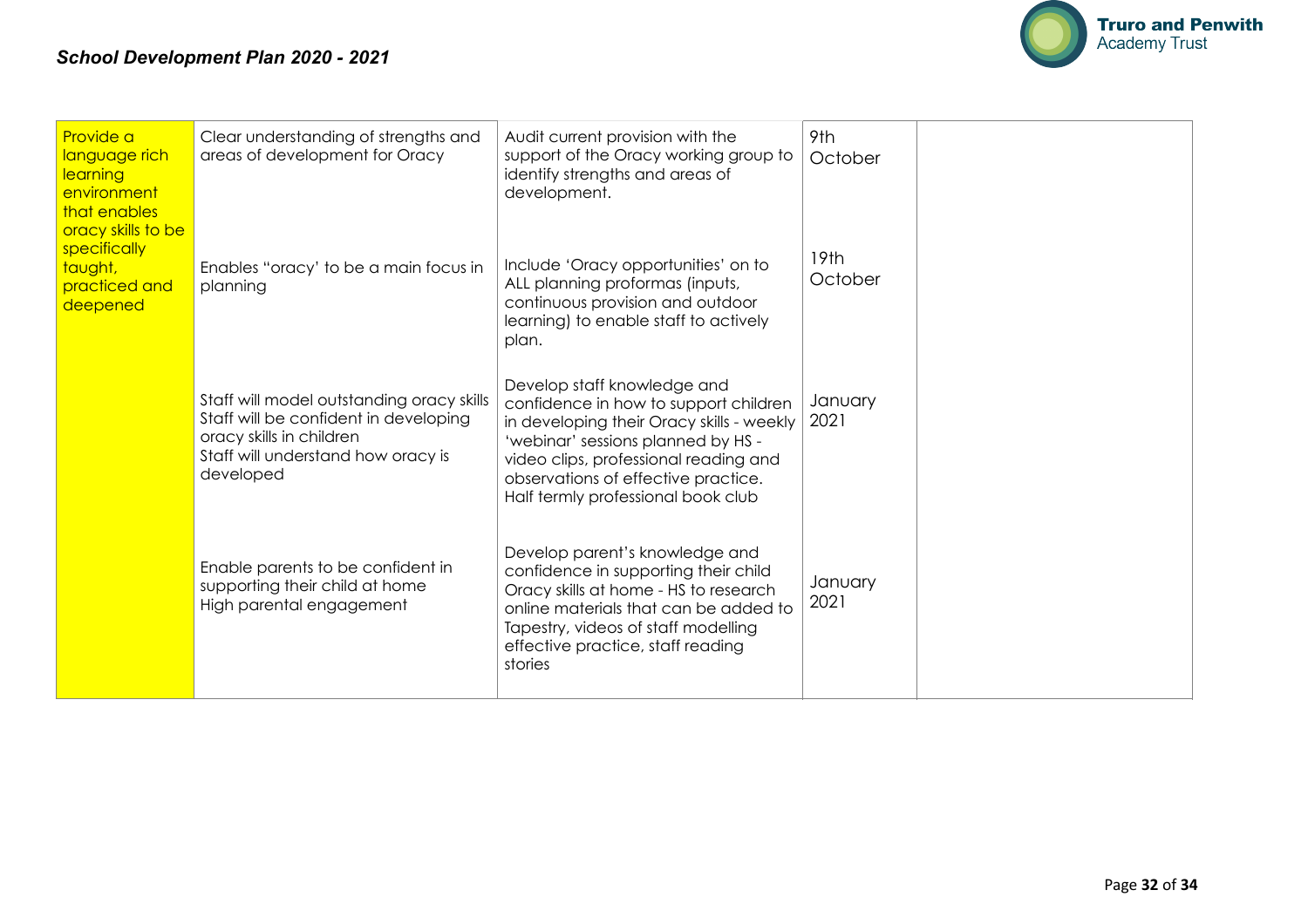

| Provide a<br>language rich<br>learning<br>environment<br>that enables<br>oracy skills to be<br>specifically<br>taught,<br>practiced and<br>deepened | Clear understanding of strengths and<br>areas of development for Oracy                                                                                            | Audit current provision with the<br>support of the Oracy working group to<br>identify strengths and areas of<br>development.                                                                                                                                                  | 9th<br>October              |  |
|-----------------------------------------------------------------------------------------------------------------------------------------------------|-------------------------------------------------------------------------------------------------------------------------------------------------------------------|-------------------------------------------------------------------------------------------------------------------------------------------------------------------------------------------------------------------------------------------------------------------------------|-----------------------------|--|
|                                                                                                                                                     | Enables "oracy' to be a main focus in<br>planning                                                                                                                 | Include 'Oracy opportunities' on to<br>ALL planning proformas (inputs,<br>continuous provision and outdoor<br>learning) to enable staff to actively<br>plan.                                                                                                                  | 19 <sub>th</sub><br>October |  |
|                                                                                                                                                     | Staff will model outstanding oracy skills<br>Staff will be confident in developing<br>oracy skills in children<br>Staff will understand how oracy is<br>developed | Develop staff knowledge and<br>confidence in how to support children<br>in developing their Oracy skills - weekly<br>'webinar' sessions planned by HS -<br>video clips, professional reading and<br>observations of effective practice.<br>Half termly professional book club | January<br>2021             |  |
|                                                                                                                                                     | Enable parents to be confident in<br>supporting their child at home<br>High parental engagement                                                                   | Develop parent's knowledge and<br>confidence in supporting their child<br>Oracy skills at home - HS to research<br>online materials that can be added to<br>Tapestry, videos of staff modelling<br>effective practice, staff reading<br>stories                               | January<br>2021             |  |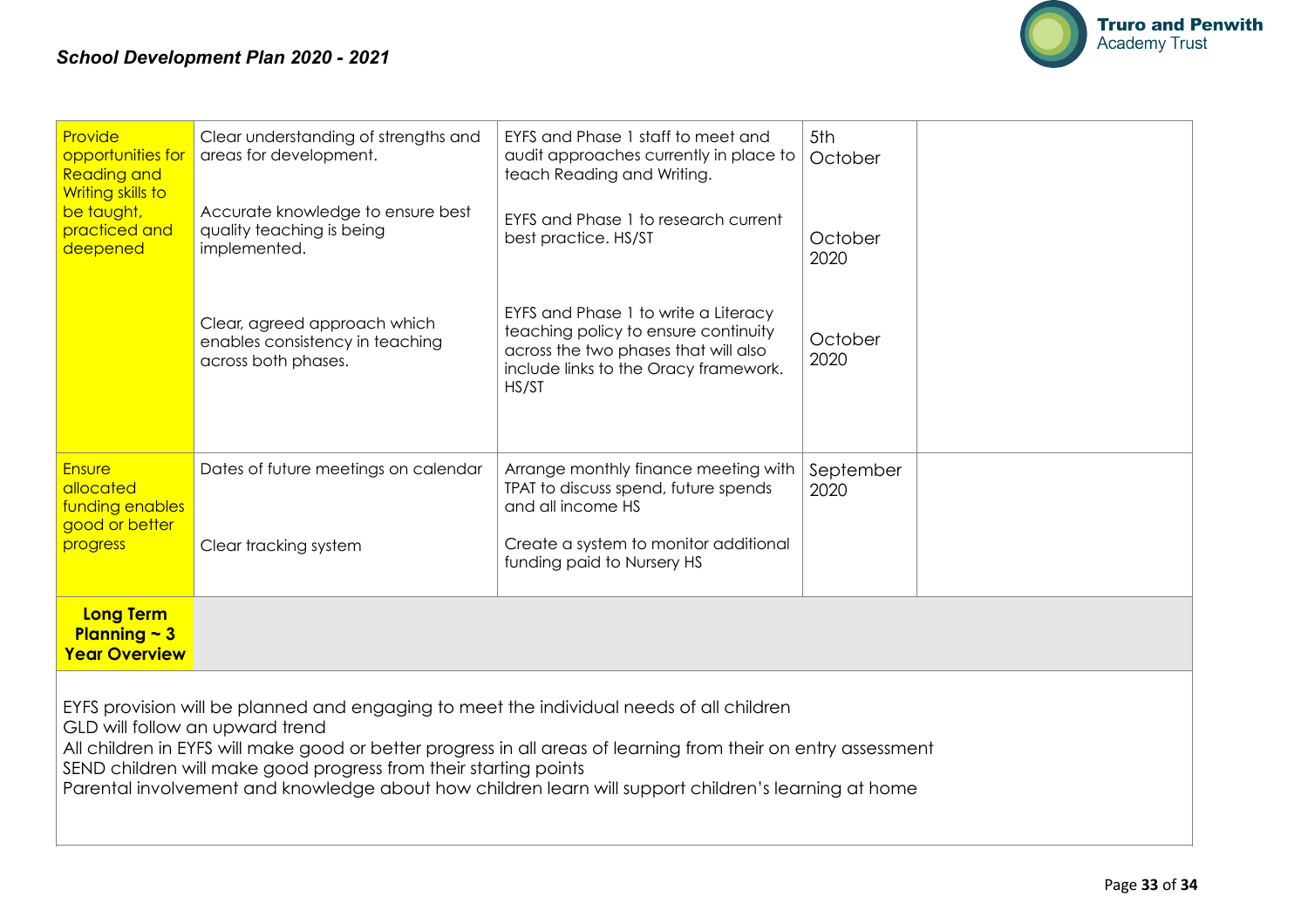

| Provide<br>opportunities for<br><b>Reading and</b><br>Writing skills to<br>be taught,<br>practiced and<br>deepened                                                                                                                                                                                                                                                                                                        | Clear understanding of strengths and<br>areas for development.                         | EYFS and Phase 1 staff to meet and<br>audit approaches currently in place to<br>teach Reading and Writing.                                                             | 5th<br>October    |  |  |  |  |
|---------------------------------------------------------------------------------------------------------------------------------------------------------------------------------------------------------------------------------------------------------------------------------------------------------------------------------------------------------------------------------------------------------------------------|----------------------------------------------------------------------------------------|------------------------------------------------------------------------------------------------------------------------------------------------------------------------|-------------------|--|--|--|--|
|                                                                                                                                                                                                                                                                                                                                                                                                                           | Accurate knowledge to ensure best<br>quality teaching is being<br>implemented.         | EYFS and Phase 1 to research current<br>best practice. HS/ST                                                                                                           | October<br>2020   |  |  |  |  |
|                                                                                                                                                                                                                                                                                                                                                                                                                           | Clear, agreed approach which<br>enables consistency in teaching<br>across both phases. | EYFS and Phase 1 to write a Literacy<br>teaching policy to ensure continuity<br>across the two phases that will also<br>include links to the Oracy framework.<br>HS/ST | October<br>2020   |  |  |  |  |
| <b>Ensure</b><br>allocated<br>funding enables<br>good or better<br>progress                                                                                                                                                                                                                                                                                                                                               | Dates of future meetings on calendar<br>Clear tracking system                          | Arrange monthly finance meeting with<br>TPAT to discuss spend, future spends<br>and all income HS<br>Create a system to monitor additional                             | September<br>2020 |  |  |  |  |
|                                                                                                                                                                                                                                                                                                                                                                                                                           |                                                                                        | funding paid to Nursery HS                                                                                                                                             |                   |  |  |  |  |
| <b>Long Term</b><br>Planning $\sim$ 3<br><b>Year Overview</b>                                                                                                                                                                                                                                                                                                                                                             |                                                                                        |                                                                                                                                                                        |                   |  |  |  |  |
| EYFS provision will be planned and engaging to meet the individual needs of all children<br>GLD will follow an upward trend<br>All children in EYFS will make good or better progress in all areas of learning from their on entry assessment<br>SEND children will make good progress from their starting points<br>Parental involvement and knowledge about how children learn will support children's learning at home |                                                                                        |                                                                                                                                                                        |                   |  |  |  |  |